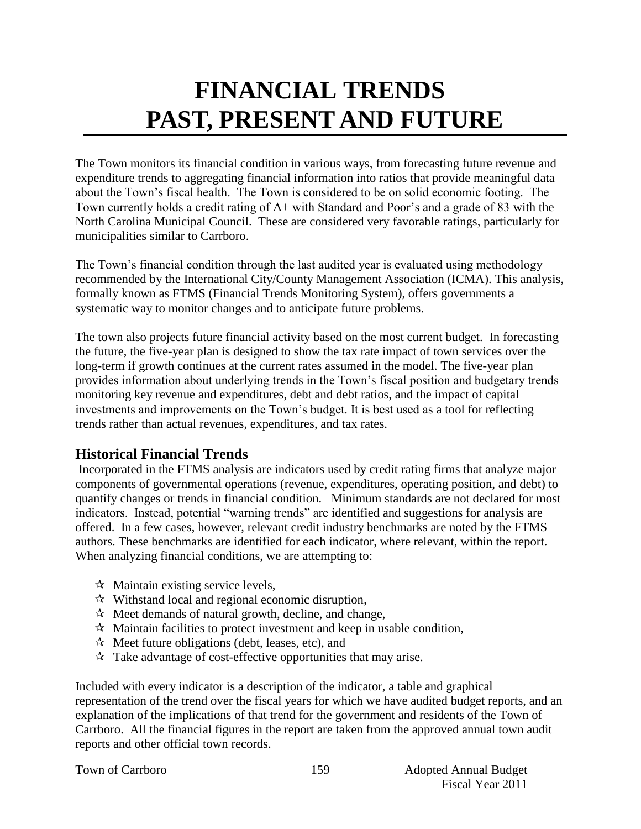# **FINANCIAL TRENDS PAST, PRESENT AND FUTURE**

The Town monitors its financial condition in various ways, from forecasting future revenue and expenditure trends to aggregating financial information into ratios that provide meaningful data about the Town's fiscal health. The Town is considered to be on solid economic footing. The Town currently holds a credit rating of A+ with Standard and Poor's and a grade of 83 with the North Carolina Municipal Council. These are considered very favorable ratings, particularly for municipalities similar to Carrboro.

The Town's financial condition through the last audited year is evaluated using methodology recommended by the International City/County Management Association (ICMA). This analysis, formally known as FTMS (Financial Trends Monitoring System), offers governments a systematic way to monitor changes and to anticipate future problems.

The town also projects future financial activity based on the most current budget. In forecasting the future, the five-year plan is designed to show the tax rate impact of town services over the long-term if growth continues at the current rates assumed in the model. The five-year plan provides information about underlying trends in the Town's fiscal position and budgetary trends monitoring key revenue and expenditures, debt and debt ratios, and the impact of capital investments and improvements on the Town's budget. It is best used as a tool for reflecting trends rather than actual revenues, expenditures, and tax rates.

# **Historical Financial Trends**

Incorporated in the FTMS analysis are indicators used by credit rating firms that analyze major components of governmental operations (revenue, expenditures, operating position, and debt) to quantify changes or trends in financial condition. Minimum standards are not declared for most indicators. Instead, potential "warning trends" are identified and suggestions for analysis are offered. In a few cases, however, relevant credit industry benchmarks are noted by the FTMS authors. These benchmarks are identified for each indicator, where relevant, within the report. When analyzing financial conditions, we are attempting to:

- $\forall$  Maintain existing service levels,
- $\mathcal{R}$  Withstand local and regional economic disruption,
- $\mathcal{R}$  Meet demands of natural growth, decline, and change,
- $\mathcal{R}$  Maintain facilities to protect investment and keep in usable condition,
- $\mathcal{A}$  Meet future obligations (debt, leases, etc), and
- $\mathcal{R}$  Take advantage of cost-effective opportunities that may arise.

Included with every indicator is a description of the indicator, a table and graphical representation of the trend over the fiscal years for which we have audited budget reports, and an explanation of the implications of that trend for the government and residents of the Town of Carrboro. All the financial figures in the report are taken from the approved annual town audit reports and other official town records.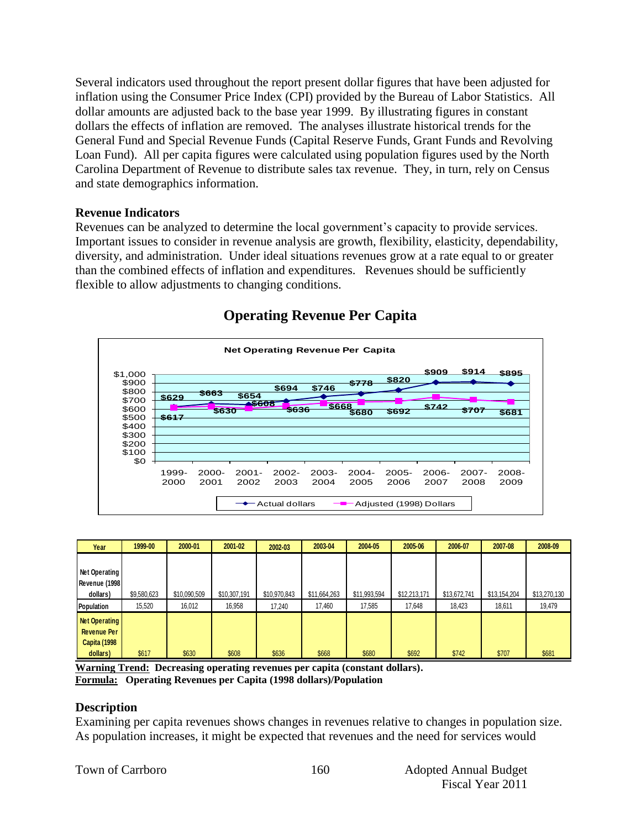Several indicators used throughout the report present dollar figures that have been adjusted for inflation using the Consumer Price Index (CPI) provided by the Bureau of Labor Statistics. All dollar amounts are adjusted back to the base year 1999. By illustrating figures in constant dollars the effects of inflation are removed. The analyses illustrate historical trends for the General Fund and Special Revenue Funds (Capital Reserve Funds, Grant Funds and Revolving Loan Fund). All per capita figures were calculated using population figures used by the North Carolina Department of Revenue to distribute sales tax revenue. They, in turn, rely on Census and state demographics information.

#### **Revenue Indicators**

Revenues can be analyzed to determine the local government's capacity to provide services. Important issues to consider in revenue analysis are growth, flexibility, elasticity, dependability, diversity, and administration. Under ideal situations revenues grow at a rate equal to or greater than the combined effects of inflation and expenditures. Revenues should be sufficiently flexible to allow adjustments to changing conditions.



# **Operating Revenue Per Capita**

| Year                 | 1999-00     | 2000-01      | 2001-02      | 2002-03      | 2003-04      | 2004-05      | 2005-06      | 2006-07      | 2007-08      | 2008-09      |
|----------------------|-------------|--------------|--------------|--------------|--------------|--------------|--------------|--------------|--------------|--------------|
|                      |             |              |              |              |              |              |              |              |              |              |
| Net Operating        |             |              |              |              |              |              |              |              |              |              |
| Revenue (1998        |             |              |              |              |              |              |              |              |              |              |
| dollars)             | \$9,580,623 | \$10,090,509 | \$10,307,191 | \$10,970,843 | \$11,664,263 | \$11,993,594 | \$12,213,171 | \$13,672,741 | \$13,154,204 | \$13,270,130 |
| <b>Population</b>    | 15,520      | 16,012       | 16,958       | 17.240       | 17,460       | 17,585       | 17,648       | 18,423       | 18,611       | 19,479       |
| <b>Net Operating</b> |             |              |              |              |              |              |              |              |              |              |
| <b>Revenue Per</b>   |             |              |              |              |              |              |              |              |              |              |
| <b>Capita (1998</b>  |             |              |              |              |              |              |              |              |              |              |
| dollars)             | \$617       | \$630        | \$608        | \$636        | \$668        | \$680        | \$692        | \$742        | \$707        | \$681        |

**Warning Trend: Decreasing operating revenues per capita (constant dollars).**

**Formula: Operating Revenues per Capita (1998 dollars)/Population**

## **Description**

Examining per capita revenues shows changes in revenues relative to changes in population size. As population increases, it might be expected that revenues and the need for services would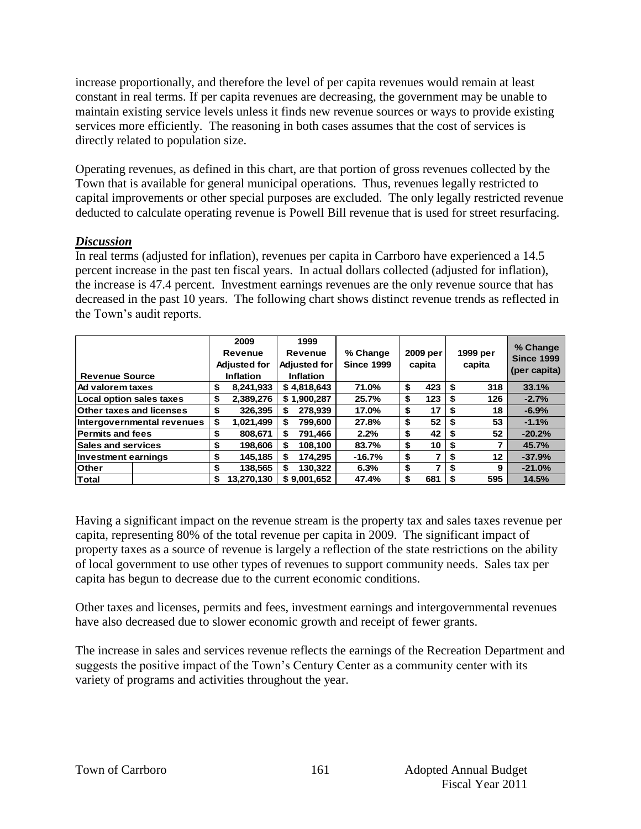increase proportionally, and therefore the level of per capita revenues would remain at least constant in real terms. If per capita revenues are decreasing, the government may be unable to maintain existing service levels unless it finds new revenue sources or ways to provide existing services more efficiently. The reasoning in both cases assumes that the cost of services is directly related to population size.

Operating revenues, as defined in this chart, are that portion of gross revenues collected by the Town that is available for general municipal operations. Thus, revenues legally restricted to capital improvements or other special purposes are excluded. The only legally restricted revenue deducted to calculate operating revenue is Powell Bill revenue that is used for street resurfacing.

#### *Discussion*

In real terms (adjusted for inflation), revenues per capita in Carrboro have experienced a 14.5 percent increase in the past ten fiscal years. In actual dollars collected (adjusted for inflation), the increase is 47.4 percent. Investment earnings revenues are the only revenue source that has decreased in the past 10 years. The following chart shows distinct revenue trends as reflected in the Town's audit reports.

| <b>Revenue Source</b>           |    | 2009<br>Revenue<br><b>Adjusted for</b><br>Inflation |    | 1999<br>Revenue<br><b>Adjusted for</b><br><b>Inflation</b> | % Change<br><b>Since 1999</b> |    | 2009 per<br>capita |      | 1999 per<br>capita | % Change<br><b>Since 1999</b><br>(per capita) |
|---------------------------------|----|-----------------------------------------------------|----|------------------------------------------------------------|-------------------------------|----|--------------------|------|--------------------|-----------------------------------------------|
| l Ad valorem taxes              | \$ | 8,241,933                                           |    | \$4,818,643                                                | 71.0%                         | \$ | 423                | \$   | 318                | 33.1%                                         |
| Local option sales taxes        | \$ | 2,389,276                                           |    | \$1,900,287                                                | 25.7%                         | \$ | 123                | \$   | 126                | $-2.7%$                                       |
| <b>Other taxes and licenses</b> | S  | 326,395                                             | S  | 278.939                                                    | 17.0%                         | \$ | 17                 | S    | 18                 | $-6.9%$                                       |
| Intergovernmental revenues      | \$ | 1,021,499                                           | \$ | 799.600                                                    | 27.8%                         | \$ | 52                 | \$   | 53                 | $-1.1%$                                       |
| <b>Permits and fees</b>         | \$ | 808,671                                             | S  | 791.466                                                    | 2.2%                          | \$ | 42                 | - \$ | 52                 | $-20.2%$                                      |
| <b>Sales and services</b>       | \$ | 198,606                                             | \$ | 108,100                                                    | 83.7%                         | \$ | 10                 | \$   |                    | 45.7%                                         |
| Investment earnings             |    | 145,185                                             | S  | 174.295                                                    | $-16.7%$                      | \$ |                    | S    | $12 \,$            | $-37.9%$                                      |
| <b>Other</b>                    |    | 138,565                                             | S  | 130.322                                                    | 6.3%                          | \$ |                    | \$   | 9                  | $-21.0%$                                      |
| <b>Total</b>                    |    | 13.270.130                                          |    | \$9.001.652                                                | 47.4%                         | £. | 681                | \$   | 595                | 14.5%                                         |

Having a significant impact on the revenue stream is the property tax and sales taxes revenue per capita, representing 80% of the total revenue per capita in 2009. The significant impact of property taxes as a source of revenue is largely a reflection of the state restrictions on the ability of local government to use other types of revenues to support community needs. Sales tax per capita has begun to decrease due to the current economic conditions.

Other taxes and licenses, permits and fees, investment earnings and intergovernmental revenues have also decreased due to slower economic growth and receipt of fewer grants.

The increase in sales and services revenue reflects the earnings of the Recreation Department and suggests the positive impact of the Town's Century Center as a community center with its variety of programs and activities throughout the year.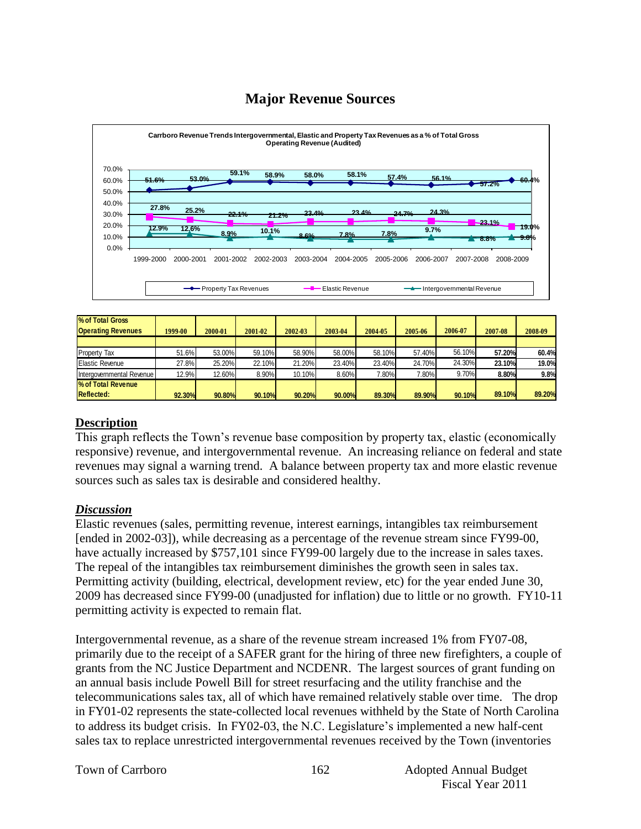# **Major Revenue Sources**



| % of Total Gross<br><b>Operating Revenues</b> | 1999-00 | 2000-01 | 2001-02 | 2002-03 | 2003-04 | 2004-05 | 2005-06 | 2006-07 | 2007-08 | 2008-09 |
|-----------------------------------------------|---------|---------|---------|---------|---------|---------|---------|---------|---------|---------|
|                                               |         |         |         |         |         |         |         |         |         |         |
| Property Tax                                  | 51.6%   | 53.00%  | 59.10%  | 58.90%  | 58.00%  | 58.10%  | 57.40%  | 56.10%  | 57.20%  | 60.4%   |
| <b>Elastic Revenue</b>                        | 27.8%   | 25.20%  | 22.10%  | 21.20%  | 23.40%  | 23.40%  | 24.70%  | 24.30%  | 23.10%  | 19.0%   |
| Intergovernmental Revenue                     | 12.9%   | 12.60%  | 8.90%   | 10.10%  | 8.60%   | 7.80%   | 7.80%   | 9.70%   | 8.80%   | 9.8%    |
| % of Total Revenue                            |         |         |         |         |         |         |         |         |         |         |
| <b>Reflected:</b>                             | 92.30%  | 90.80%  | 90.10%  | 90.20%  | 90.00%  | 89.30%  | 89.90%  | 90.10%  | 89.10%  | 89.20%  |

#### **Description**

This graph reflects the Town's revenue base composition by property tax, elastic (economically responsive) revenue, and intergovernmental revenue. An increasing reliance on federal and state revenues may signal a warning trend. A balance between property tax and more elastic revenue sources such as sales tax is desirable and considered healthy.

#### *Discussion*

Elastic revenues (sales, permitting revenue, interest earnings, intangibles tax reimbursement [ended in 2002-03]), while decreasing as a percentage of the revenue stream since FY99-00, have actually increased by \$757,101 since FY99-00 largely due to the increase in sales taxes. The repeal of the intangibles tax reimbursement diminishes the growth seen in sales tax. Permitting activity (building, electrical, development review, etc) for the year ended June 30, 2009 has decreased since FY99-00 (unadjusted for inflation) due to little or no growth. FY10-11 permitting activity is expected to remain flat.

Intergovernmental revenue, as a share of the revenue stream increased 1% from FY07-08, primarily due to the receipt of a SAFER grant for the hiring of three new firefighters, a couple of grants from the NC Justice Department and NCDENR. The largest sources of grant funding on an annual basis include Powell Bill for street resurfacing and the utility franchise and the telecommunications sales tax, all of which have remained relatively stable over time. The drop in FY01-02 represents the state-collected local revenues withheld by the State of North Carolina to address its budget crisis. In FY02-03, the N.C. Legislature's implemented a new half-cent sales tax to replace unrestricted intergovernmental revenues received by the Town (inventories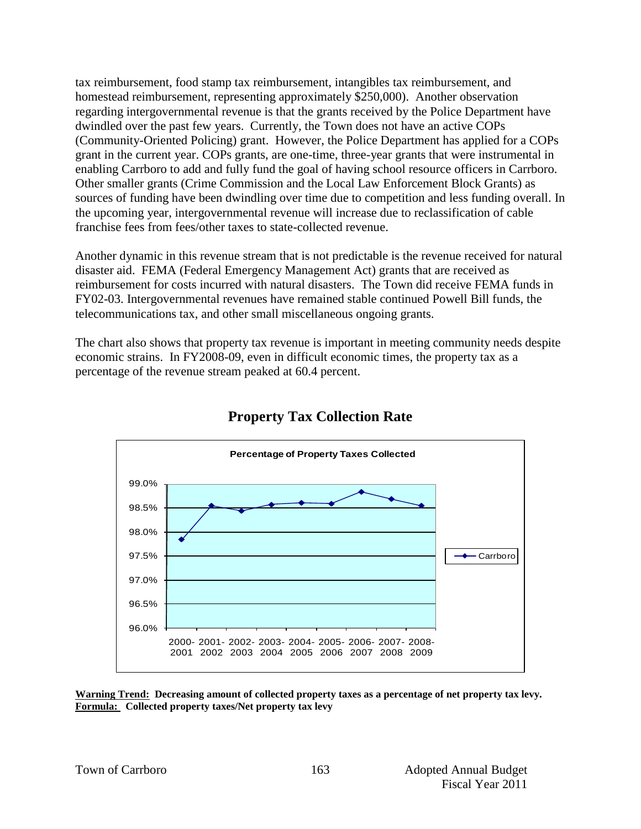tax reimbursement, food stamp tax reimbursement, intangibles tax reimbursement, and homestead reimbursement, representing approximately \$250,000). Another observation regarding intergovernmental revenue is that the grants received by the Police Department have dwindled over the past few years. Currently, the Town does not have an active COPs (Community-Oriented Policing) grant. However, the Police Department has applied for a COPs grant in the current year. COPs grants, are one-time, three-year grants that were instrumental in enabling Carrboro to add and fully fund the goal of having school resource officers in Carrboro. Other smaller grants (Crime Commission and the Local Law Enforcement Block Grants) as sources of funding have been dwindling over time due to competition and less funding overall. In the upcoming year, intergovernmental revenue will increase due to reclassification of cable franchise fees from fees/other taxes to state-collected revenue.

Another dynamic in this revenue stream that is not predictable is the revenue received for natural disaster aid. FEMA (Federal Emergency Management Act) grants that are received as reimbursement for costs incurred with natural disasters. The Town did receive FEMA funds in FY02-03. Intergovernmental revenues have remained stable continued Powell Bill funds, the telecommunications tax, and other small miscellaneous ongoing grants.

The chart also shows that property tax revenue is important in meeting community needs despite economic strains. In FY2008-09, even in difficult economic times, the property tax as a percentage of the revenue stream peaked at 60.4 percent.



# **Property Tax Collection Rate**

**Warning Trend: Decreasing amount of collected property taxes as a percentage of net property tax levy. Formula: Collected property taxes/Net property tax levy**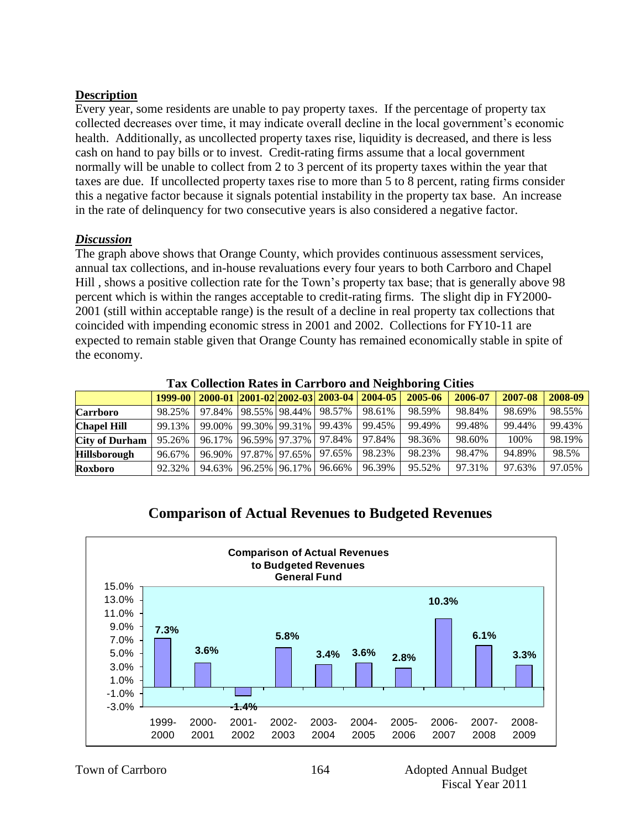## **Description**

Every year, some residents are unable to pay property taxes. If the percentage of property tax collected decreases over time, it may indicate overall decline in the local government's economic health. Additionally, as uncollected property taxes rise, liquidity is decreased, and there is less cash on hand to pay bills or to invest. Credit-rating firms assume that a local government normally will be unable to collect from 2 to 3 percent of its property taxes within the year that taxes are due. If uncollected property taxes rise to more than 5 to 8 percent, rating firms consider this a negative factor because it signals potential instability in the property tax base. An increase in the rate of delinquency for two consecutive years is also considered a negative factor.

## *Discussion*

The graph above shows that Orange County, which provides continuous assessment services, annual tax collections, and in-house revaluations every four years to both Carrboro and Chapel Hill , shows a positive collection rate for the Town's property tax base; that is generally above 98 percent which is within the ranges acceptable to credit-rating firms. The slight dip in FY2000- 2001 (still within acceptable range) is the result of a decline in real property tax collections that coincided with impending economic stress in 2001 and 2002. Collections for FY10-11 are expected to remain stable given that Orange County has remained economically stable in spite of the economy.

|                       | Tax Concentrum Nates in Carriboro and reignboring Crues |                             |  |               |                                                 |        |         |         |         |         |  |  |  |
|-----------------------|---------------------------------------------------------|-----------------------------|--|---------------|-------------------------------------------------|--------|---------|---------|---------|---------|--|--|--|
|                       |                                                         |                             |  |               | 1999-00 2000-01 2001-02 2002-03 2003-04 2004-05 |        | 2005-06 | 2006-07 | 2007-08 | 2008-09 |  |  |  |
| <b>Carrboro</b>       | 98.25%                                                  | 97.84% 98.55% 98.44% 98.57% |  |               |                                                 | 98.61% | 98.59%  | 98.84%  | 98.69%  | 98.55%  |  |  |  |
| <b>Chapel Hill</b>    | 99.13%                                                  | 99.00% 99.30% 99.31%        |  |               | 99.43%                                          | 99.45% | 99.49%  | 99.48%  | 99.44%  | 99.43%  |  |  |  |
| <b>City of Durham</b> | 95.26%                                                  | 96.17%                      |  | 96.59% 97.37% | 97.84%                                          | 97.84% | 98.36%  | 98.60%  | 100\%   | 98.19%  |  |  |  |
| <b>Hillsborough</b>   | 96.67%                                                  | 96.90% 97.87% 97.65%        |  |               | 97.65%                                          | 98.23% | 98.23%  | 98.47%  | 94.89%  | 98.5%   |  |  |  |
| <b>Roxboro</b>        | 92.32%                                                  | 94.63%                      |  | 96.25% 96.17% | 96.66%                                          | 96.39% | 95.52%  | 97.31%  | 97.63%  | 97.05%  |  |  |  |

**Tax Collection Rates in Carrboro and Neighboring Cities**

# **Comparison of Actual Revenues to Budgeted Revenues**

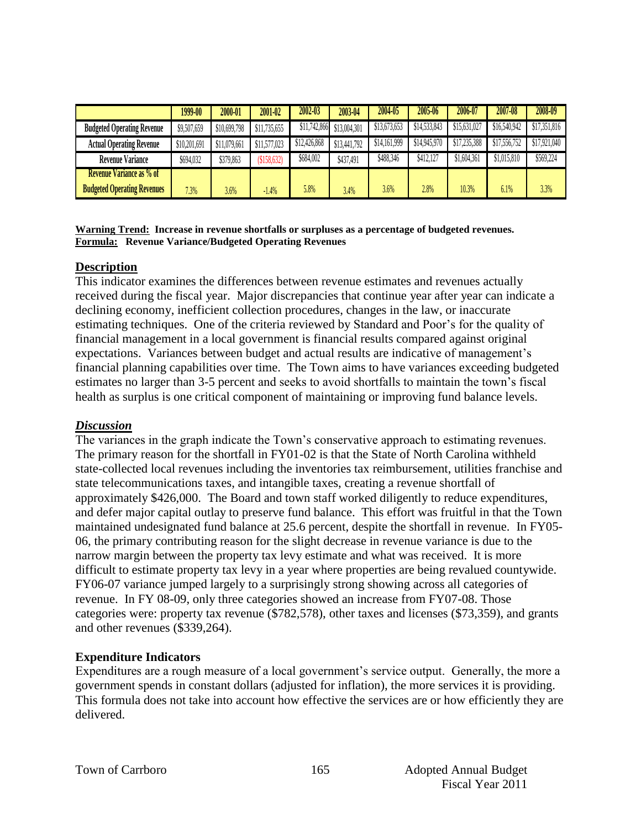|                                    | 1999-00      | 2000-01      | 2001-02      | 2002-03      | 2003-04      | 2004-05      | 2005-06      | 2006-07      | 2007-08      | 2008-09      |
|------------------------------------|--------------|--------------|--------------|--------------|--------------|--------------|--------------|--------------|--------------|--------------|
| <b>Budgeted Operating Revenue</b>  | \$9,507,659  | \$10,699,798 | \$11,735,655 | \$11,742,866 | \$13,004,301 | \$13,673,653 | \$14,533,843 | \$15,631,027 | \$16,540,942 | \$17,351,816 |
| <b>Actual Operating Revenue</b>    | \$10,201,691 | \$11,079,661 | \$11,577,023 | \$12,426,868 | \$13,441,792 | \$14,161,999 | \$14,945,970 | \$17,235,388 | \$17,556,752 | \$17,921,040 |
| <b>Revenue Variance</b>            | \$694,032    | \$379,863    | (\$158,632)  | \$684,002    | \$437,491    | \$488,346    | \$412,127    | \$1.604.361  | \$1,015,810  | \$569,224    |
| <b>Revenue Variance as % of</b>    |              |              |              |              |              |              |              |              |              |              |
| <b>Budgeted Operating Revenues</b> | 7.3%         | 3.6%         | $-1.4%$      | 5.8%         | 3.4%         | 3.6%         | 2.8%         | 10.3%        | 6.1%         | 3.3%         |

#### **Warning Trend: Increase in revenue shortfalls or surpluses as a percentage of budgeted revenues. Formula: Revenue Variance/Budgeted Operating Revenues**

#### **Description**

This indicator examines the differences between revenue estimates and revenues actually received during the fiscal year. Major discrepancies that continue year after year can indicate a declining economy, inefficient collection procedures, changes in the law, or inaccurate estimating techniques. One of the criteria reviewed by Standard and Poor's for the quality of financial management in a local government is financial results compared against original expectations. Variances between budget and actual results are indicative of management's financial planning capabilities over time. The Town aims to have variances exceeding budgeted estimates no larger than 3-5 percent and seeks to avoid shortfalls to maintain the town's fiscal health as surplus is one critical component of maintaining or improving fund balance levels.

#### *Discussion*

The variances in the graph indicate the Town's conservative approach to estimating revenues. The primary reason for the shortfall in FY01-02 is that the State of North Carolina withheld state-collected local revenues including the inventories tax reimbursement, utilities franchise and state telecommunications taxes, and intangible taxes, creating a revenue shortfall of approximately \$426,000. The Board and town staff worked diligently to reduce expenditures, and defer major capital outlay to preserve fund balance. This effort was fruitful in that the Town maintained undesignated fund balance at 25.6 percent, despite the shortfall in revenue. In FY05- 06, the primary contributing reason for the slight decrease in revenue variance is due to the narrow margin between the property tax levy estimate and what was received. It is more difficult to estimate property tax levy in a year where properties are being revalued countywide. FY06-07 variance jumped largely to a surprisingly strong showing across all categories of revenue. In FY 08-09, only three categories showed an increase from FY07-08. Those categories were: property tax revenue (\$782,578), other taxes and licenses (\$73,359), and grants and other revenues (\$339,264).

#### **Expenditure Indicators**

Expenditures are a rough measure of a local government's service output. Generally, the more a government spends in constant dollars (adjusted for inflation), the more services it is providing. This formula does not take into account how effective the services are or how efficiently they are delivered.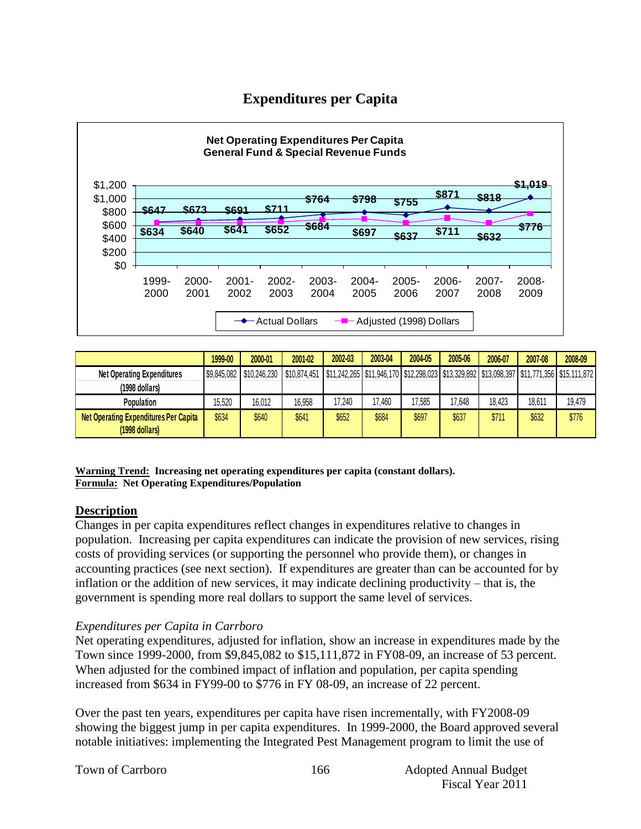# **Expenditures per Capita**



|                                              | 1999-00 | 2000-01                  | 2001-02      | 2002-03 | 2003-04 | 2004-05 | 2005-06 | 2006-07 | 2007-08 | 2008-09                                                                                    |
|----------------------------------------------|---------|--------------------------|--------------|---------|---------|---------|---------|---------|---------|--------------------------------------------------------------------------------------------|
| <b>Net Operating Expenditures</b>            |         | \$9,845,082 \$10,246,230 | \$10,874,451 |         |         |         |         |         |         | \$11,242,265 \$11,946,170 \$12,298,023 \$13,329,892 \$13,098,397 \$11,771,356 \$15,111,872 |
| (1998 dollars)                               |         |                          |              |         |         |         |         |         |         |                                                                                            |
| Population                                   | 15,520  | 16,012                   | 16,958       | 17,240  | 17,460  | 7,585   | 17,648  | 18,423  | 18,611  | 19,479                                                                                     |
| <b>Net Operating Expenditures Per Capita</b> | \$634   | \$640                    | \$641        | \$652   | \$684   | \$697   | \$637   | \$711   | \$632   | \$776                                                                                      |
| (1998 dollars)                               |         |                          |              |         |         |         |         |         |         |                                                                                            |

**Warning Trend: Increasing net operating expenditures per capita (constant dollars). Formula: Net Operating Expenditures/Population**

## **Description**

Changes in per capita expenditures reflect changes in expenditures relative to changes in population. Increasing per capita expenditures can indicate the provision of new services, rising costs of providing services (or supporting the personnel who provide them), or changes in accounting practices (see next section). If expenditures are greater than can be accounted for by inflation or the addition of new services, it may indicate declining productivity – that is, the government is spending more real dollars to support the same level of services.

#### *Expenditures per Capita in Carrboro*

Net operating expenditures, adjusted for inflation, show an increase in expenditures made by the Town since 1999-2000, from \$9,845,082 to \$15,111,872 in FY08-09, an increase of 53 percent. When adjusted for the combined impact of inflation and population, per capita spending increased from \$634 in FY99-00 to \$776 in FY 08-09, an increase of 22 percent.

Over the past ten years, expenditures per capita have risen incrementally, with FY2008-09 showing the biggest jump in per capita expenditures. In 1999-2000, the Board approved several notable initiatives: implementing the Integrated Pest Management program to limit the use of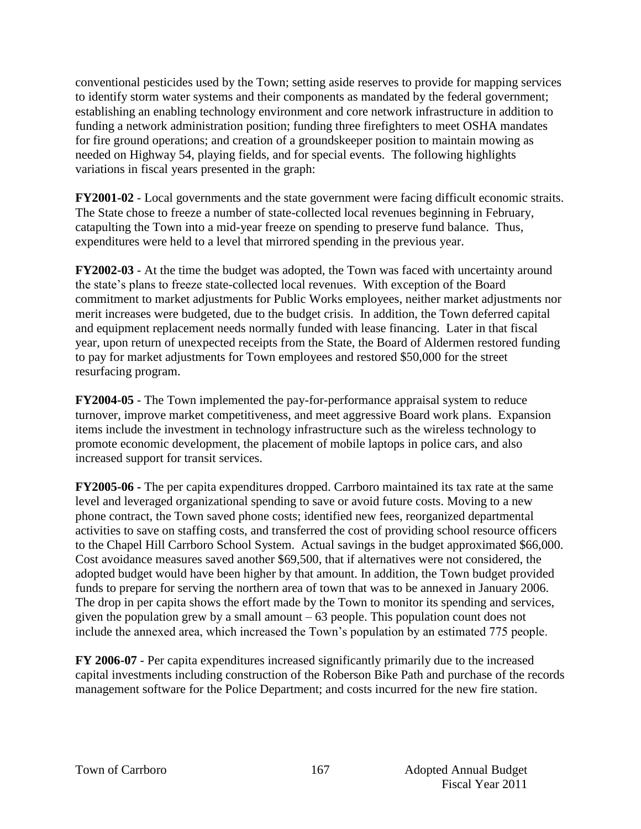conventional pesticides used by the Town; setting aside reserves to provide for mapping services to identify storm water systems and their components as mandated by the federal government; establishing an enabling technology environment and core network infrastructure in addition to funding a network administration position; funding three firefighters to meet OSHA mandates for fire ground operations; and creation of a groundskeeper position to maintain mowing as needed on Highway 54, playing fields, and for special events. The following highlights variations in fiscal years presented in the graph:

**FY2001-02** - Local governments and the state government were facing difficult economic straits. The State chose to freeze a number of state-collected local revenues beginning in February, catapulting the Town into a mid-year freeze on spending to preserve fund balance. Thus, expenditures were held to a level that mirrored spending in the previous year.

**FY2002-03** - At the time the budget was adopted, the Town was faced with uncertainty around the state's plans to freeze state-collected local revenues. With exception of the Board commitment to market adjustments for Public Works employees, neither market adjustments nor merit increases were budgeted, due to the budget crisis. In addition, the Town deferred capital and equipment replacement needs normally funded with lease financing. Later in that fiscal year, upon return of unexpected receipts from the State, the Board of Aldermen restored funding to pay for market adjustments for Town employees and restored \$50,000 for the street resurfacing program.

**FY2004-05** - The Town implemented the pay-for-performance appraisal system to reduce turnover, improve market competitiveness, and meet aggressive Board work plans. Expansion items include the investment in technology infrastructure such as the wireless technology to promote economic development, the placement of mobile laptops in police cars, and also increased support for transit services.

**FY2005-06 -** The per capita expenditures dropped. Carrboro maintained its tax rate at the same level and leveraged organizational spending to save or avoid future costs. Moving to a new phone contract, the Town saved phone costs; identified new fees, reorganized departmental activities to save on staffing costs, and transferred the cost of providing school resource officers to the Chapel Hill Carrboro School System. Actual savings in the budget approximated \$66,000. Cost avoidance measures saved another \$69,500, that if alternatives were not considered, the adopted budget would have been higher by that amount. In addition, the Town budget provided funds to prepare for serving the northern area of town that was to be annexed in January 2006. The drop in per capita shows the effort made by the Town to monitor its spending and services, given the population grew by a small amount  $-63$  people. This population count does not include the annexed area, which increased the Town's population by an estimated 775 people.

**FY 2006-07** - Per capita expenditures increased significantly primarily due to the increased capital investments including construction of the Roberson Bike Path and purchase of the records management software for the Police Department; and costs incurred for the new fire station.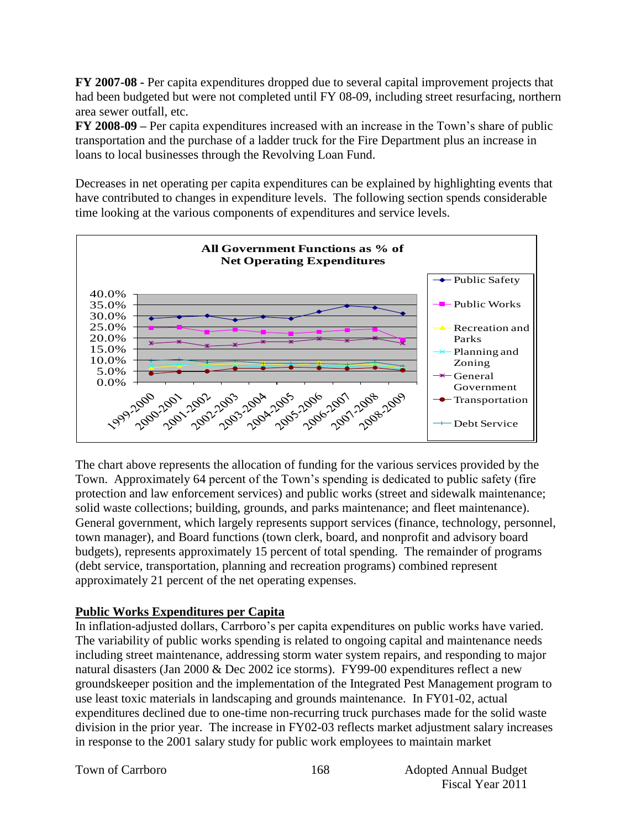**FY 2007-08 -** Per capita expenditures dropped due to several capital improvement projects that had been budgeted but were not completed until FY 08-09, including street resurfacing, northern area sewer outfall, etc.

**FY 2008-09 –** Per capita expenditures increased with an increase in the Town's share of public transportation and the purchase of a ladder truck for the Fire Department plus an increase in loans to local businesses through the Revolving Loan Fund.

Decreases in net operating per capita expenditures can be explained by highlighting events that have contributed to changes in expenditure levels. The following section spends considerable time looking at the various components of expenditures and service levels.



The chart above represents the allocation of funding for the various services provided by the Town. Approximately 64 percent of the Town's spending is dedicated to public safety (fire protection and law enforcement services) and public works (street and sidewalk maintenance; solid waste collections; building, grounds, and parks maintenance; and fleet maintenance). General government, which largely represents support services (finance, technology, personnel, town manager), and Board functions (town clerk, board, and nonprofit and advisory board budgets), represents approximately 15 percent of total spending. The remainder of programs (debt service, transportation, planning and recreation programs) combined represent approximately 21 percent of the net operating expenses.

## **Public Works Expenditures per Capita**

In inflation-adjusted dollars, Carrboro's per capita expenditures on public works have varied. The variability of public works spending is related to ongoing capital and maintenance needs including street maintenance, addressing storm water system repairs, and responding to major natural disasters (Jan 2000 & Dec 2002 ice storms). FY99-00 expenditures reflect a new groundskeeper position and the implementation of the Integrated Pest Management program to use least toxic materials in landscaping and grounds maintenance. In FY01-02, actual expenditures declined due to one-time non-recurring truck purchases made for the solid waste division in the prior year. The increase in FY02-03 reflects market adjustment salary increases in response to the 2001 salary study for public work employees to maintain market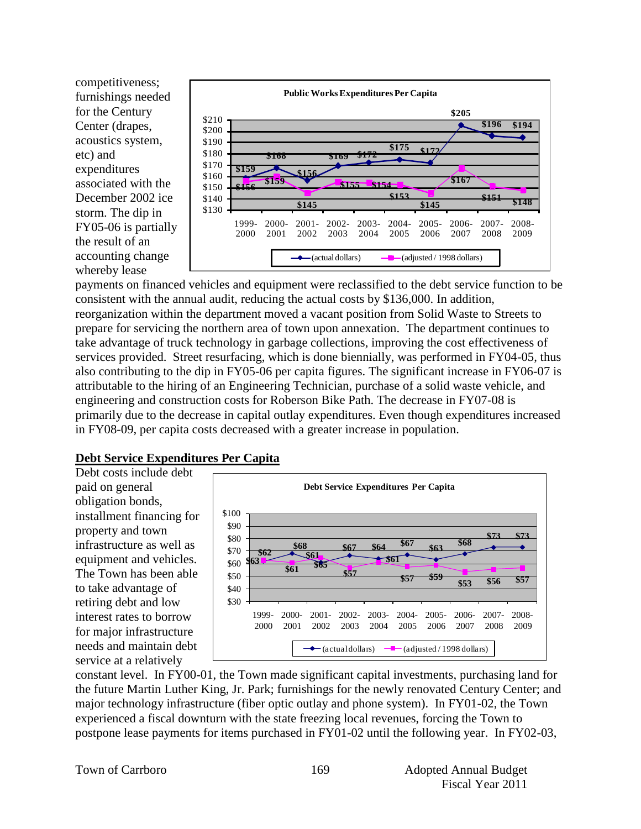competitiveness; furnishings needed for the Century Center (drapes, acoustics system, etc) and expenditures associated with the December 2002 ice storm. The dip in FY05-06 is partially the result of an accounting change whereby lease



payments on financed vehicles and equipment were reclassified to the debt service function to be consistent with the annual audit, reducing the actual costs by \$136,000. In addition, reorganization within the department moved a vacant position from Solid Waste to Streets to prepare for servicing the northern area of town upon annexation. The department continues to take advantage of truck technology in garbage collections, improving the cost effectiveness of services provided. Street resurfacing, which is done biennially, was performed in FY04-05, thus also contributing to the dip in FY05-06 per capita figures. The significant increase in FY06-07 is attributable to the hiring of an Engineering Technician, purchase of a solid waste vehicle, and engineering and construction costs for Roberson Bike Path. The decrease in FY07-08 is primarily due to the decrease in capital outlay expenditures. Even though expenditures increased in FY08-09, per capita costs decreased with a greater increase in population.

#### **Debt Service Expenditures Per Capita**

Debt costs include debt paid on general obligation bonds, installment financing for property and town infrastructure as well as equipment and vehicles. The Town has been able to take advantage of retiring debt and low interest rates to borrow for major infrastructure needs and maintain debt service at a relatively



constant level. In FY00-01, the Town made significant capital investments, purchasing land for the future Martin Luther King, Jr. Park; furnishings for the newly renovated Century Center; and major technology infrastructure (fiber optic outlay and phone system). In FY01-02, the Town experienced a fiscal downturn with the state freezing local revenues, forcing the Town to postpone lease payments for items purchased in FY01-02 until the following year. In FY02-03,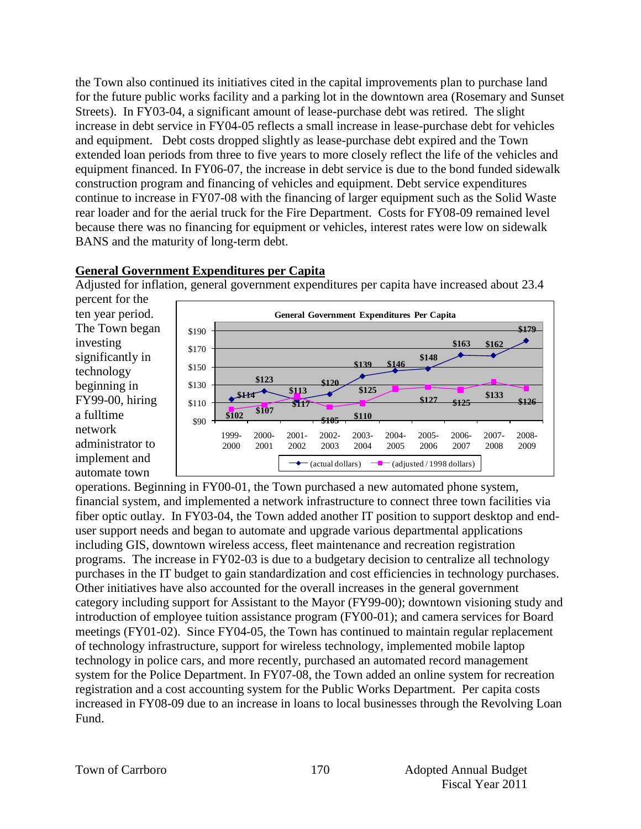the Town also continued its initiatives cited in the capital improvements plan to purchase land for the future public works facility and a parking lot in the downtown area (Rosemary and Sunset Streets). In FY03-04, a significant amount of lease-purchase debt was retired. The slight increase in debt service in FY04-05 reflects a small increase in lease-purchase debt for vehicles and equipment. Debt costs dropped slightly as lease-purchase debt expired and the Town extended loan periods from three to five years to more closely reflect the life of the vehicles and equipment financed. In FY06-07, the increase in debt service is due to the bond funded sidewalk construction program and financing of vehicles and equipment. Debt service expenditures continue to increase in FY07-08 with the financing of larger equipment such as the Solid Waste rear loader and for the aerial truck for the Fire Department. Costs for FY08-09 remained level because there was no financing for equipment or vehicles, interest rates were low on sidewalk BANS and the maturity of long-term debt.

## **General Government Expenditures per Capita**

Adjusted for inflation, general government expenditures per capita have increased about 23.4

percent for the ten year period. The Town began investing significantly in technology beginning in FY99-00, hiring a fulltime network administrator to implement and automate town



operations. Beginning in FY00-01, the Town purchased a new automated phone system, financial system, and implemented a network infrastructure to connect three town facilities via fiber optic outlay. In FY03-04, the Town added another IT position to support desktop and enduser support needs and began to automate and upgrade various departmental applications including GIS, downtown wireless access, fleet maintenance and recreation registration programs. The increase in FY02-03 is due to a budgetary decision to centralize all technology purchases in the IT budget to gain standardization and cost efficiencies in technology purchases. Other initiatives have also accounted for the overall increases in the general government category including support for Assistant to the Mayor (FY99-00); downtown visioning study and introduction of employee tuition assistance program (FY00-01); and camera services for Board meetings (FY01-02). Since FY04-05, the Town has continued to maintain regular replacement of technology infrastructure, support for wireless technology, implemented mobile laptop technology in police cars, and more recently, purchased an automated record management system for the Police Department. In FY07-08, the Town added an online system for recreation registration and a cost accounting system for the Public Works Department. Per capita costs increased in FY08-09 due to an increase in loans to local businesses through the Revolving Loan Fund.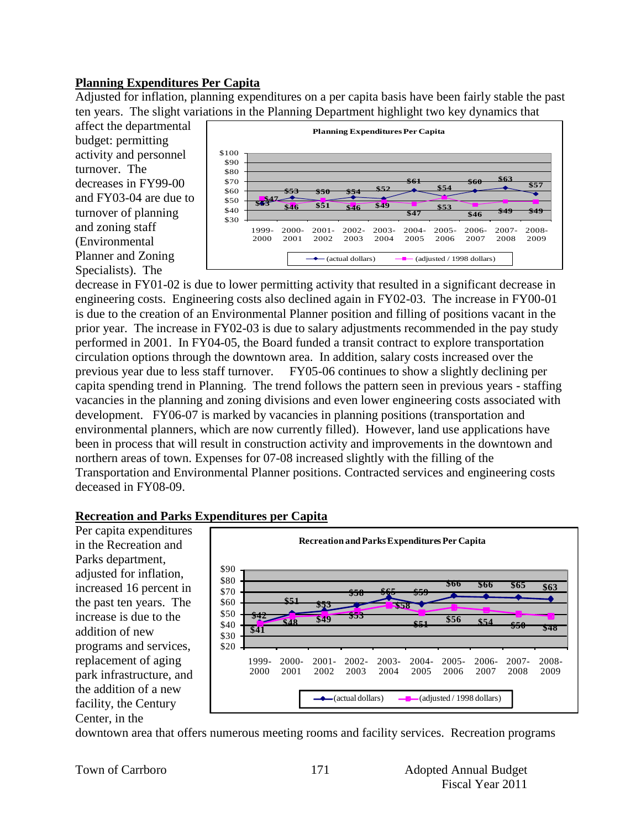## **Planning Expenditures Per Capita**

Adjusted for inflation, planning expenditures on a per capita basis have been fairly stable the past ten years. The slight variations in the Planning Department highlight two key dynamics that

affect the departmental budget: permitting activity and personnel turnover. The decreases in FY99-00 and FY03-04 are due to turnover of planning and zoning staff (Environmental Planner and Zoning Specialists). The



decrease in FY01-02 is due to lower permitting activity that resulted in a significant decrease in engineering costs. Engineering costs also declined again in FY02-03. The increase in FY00-01 is due to the creation of an Environmental Planner position and filling of positions vacant in the prior year. The increase in FY02-03 is due to salary adjustments recommended in the pay study performed in 2001. In FY04-05, the Board funded a transit contract to explore transportation circulation options through the downtown area. In addition, salary costs increased over the previous year due to less staff turnover. FY05-06 continues to show a slightly declining per capita spending trend in Planning. The trend follows the pattern seen in previous years - staffing vacancies in the planning and zoning divisions and even lower engineering costs associated with development. FY06-07 is marked by vacancies in planning positions (transportation and environmental planners, which are now currently filled). However, land use applications have been in process that will result in construction activity and improvements in the downtown and northern areas of town. Expenses for 07-08 increased slightly with the filling of the Transportation and Environmental Planner positions. Contracted services and engineering costs deceased in FY08-09.

## **Recreation and Parks Expenditures per Capita**

Per capita expenditures in the Recreation and Parks department, adjusted for inflation, increased 16 percent in the past ten years. The increase is due to the addition of new programs and services, replacement of aging park infrastructure, and the addition of a new facility, the Century Center, in the

![](_page_12_Figure_7.jpeg)

downtown area that offers numerous meeting rooms and facility services. Recreation programs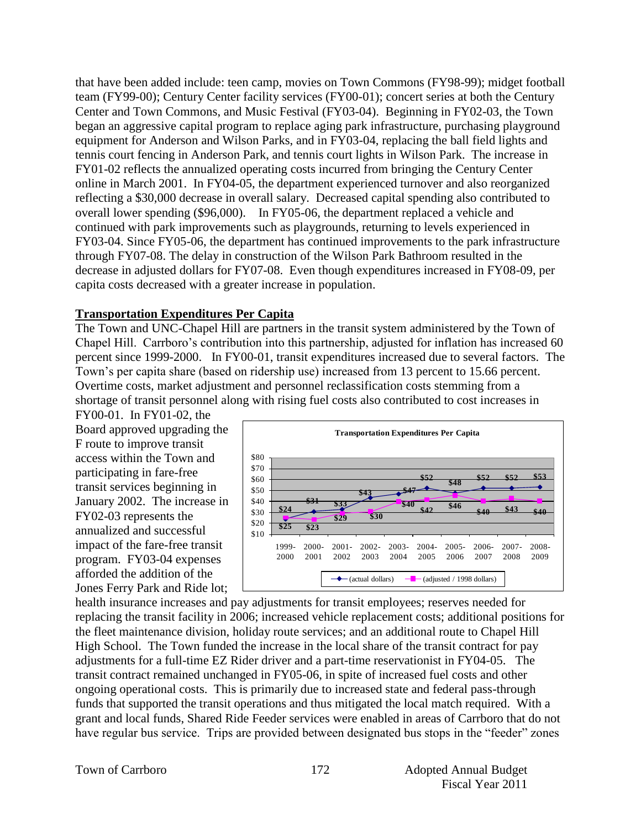that have been added include: teen camp, movies on Town Commons (FY98-99); midget football team (FY99-00); Century Center facility services (FY00-01); concert series at both the Century Center and Town Commons, and Music Festival (FY03-04). Beginning in FY02-03, the Town began an aggressive capital program to replace aging park infrastructure, purchasing playground equipment for Anderson and Wilson Parks, and in FY03-04, replacing the ball field lights and tennis court fencing in Anderson Park, and tennis court lights in Wilson Park. The increase in FY01-02 reflects the annualized operating costs incurred from bringing the Century Center online in March 2001. In FY04-05, the department experienced turnover and also reorganized reflecting a \$30,000 decrease in overall salary. Decreased capital spending also contributed to overall lower spending (\$96,000). In FY05-06, the department replaced a vehicle and continued with park improvements such as playgrounds, returning to levels experienced in FY03-04. Since FY05-06, the department has continued improvements to the park infrastructure through FY07-08. The delay in construction of the Wilson Park Bathroom resulted in the decrease in adjusted dollars for FY07-08. Even though expenditures increased in FY08-09, per capita costs decreased with a greater increase in population.

## **Transportation Expenditures Per Capita**

The Town and UNC-Chapel Hill are partners in the transit system administered by the Town of Chapel Hill. Carrboro's contribution into this partnership, adjusted for inflation has increased 60 percent since 1999-2000. In FY00-01, transit expenditures increased due to several factors. The Town's per capita share (based on ridership use) increased from 13 percent to 15.66 percent. Overtime costs, market adjustment and personnel reclassification costs stemming from a shortage of transit personnel along with rising fuel costs also contributed to cost increases in

FY00-01. In FY01-02, the Board approved upgrading the F route to improve transit access within the Town and participating in fare-free transit services beginning in January 2002. The increase in FY02-03 represents the annualized and successful impact of the fare-free transit program. FY03-04 expenses afforded the addition of the Jones Ferry Park and Ride lot;

![](_page_13_Figure_4.jpeg)

health insurance increases and pay adjustments for transit employees; reserves needed for replacing the transit facility in 2006; increased vehicle replacement costs; additional positions for the fleet maintenance division, holiday route services; and an additional route to Chapel Hill High School. The Town funded the increase in the local share of the transit contract for pay adjustments for a full-time EZ Rider driver and a part-time reservationist in FY04-05. The transit contract remained unchanged in FY05-06, in spite of increased fuel costs and other ongoing operational costs. This is primarily due to increased state and federal pass-through funds that supported the transit operations and thus mitigated the local match required. With a grant and local funds, Shared Ride Feeder services were enabled in areas of Carrboro that do not have regular bus service. Trips are provided between designated bus stops in the "feeder" zones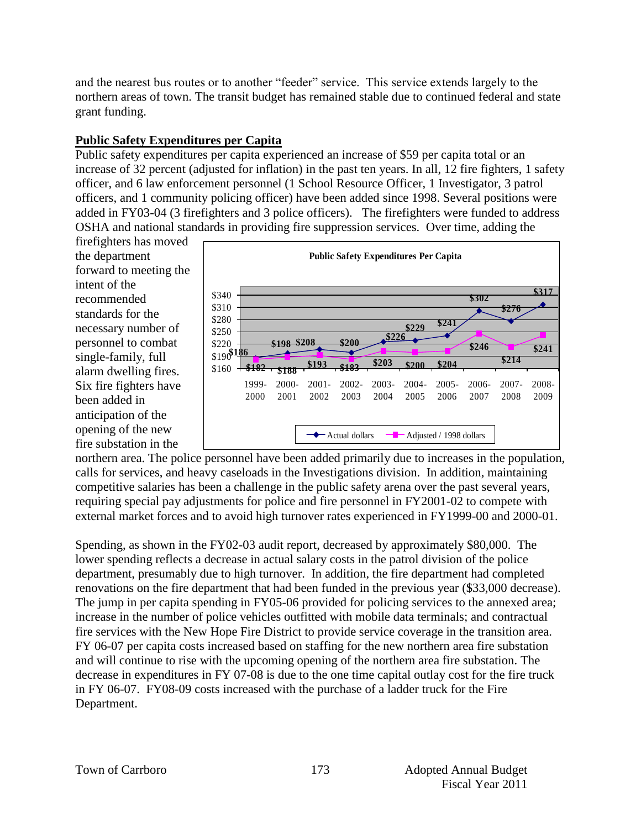and the nearest bus routes or to another "feeder" service. This service extends largely to the northern areas of town. The transit budget has remained stable due to continued federal and state grant funding.

## **Public Safety Expenditures per Capita**

Public safety expenditures per capita experienced an increase of \$59 per capita total or an increase of 32 percent (adjusted for inflation) in the past ten years. In all, 12 fire fighters, 1 safety officer, and 6 law enforcement personnel (1 School Resource Officer, 1 Investigator, 3 patrol officers, and 1 community policing officer) have been added since 1998. Several positions were added in FY03-04 (3 firefighters and 3 police officers). The firefighters were funded to address OSHA and national standards in providing fire suppression services. Over time, adding the

firefighters has moved the department forward to meeting the intent of the recommended standards for the necessary number of personnel to combat single-family, full alarm dwelling fires. Six fire fighters have been added in anticipation of the opening of the new fire substation in the

![](_page_14_Figure_4.jpeg)

northern area. The police personnel have been added primarily due to increases in the population, calls for services, and heavy caseloads in the Investigations division. In addition, maintaining competitive salaries has been a challenge in the public safety arena over the past several years, requiring special pay adjustments for police and fire personnel in FY2001-02 to compete with external market forces and to avoid high turnover rates experienced in FY1999-00 and 2000-01.

Spending, as shown in the FY02-03 audit report, decreased by approximately \$80,000. The lower spending reflects a decrease in actual salary costs in the patrol division of the police department, presumably due to high turnover. In addition, the fire department had completed renovations on the fire department that had been funded in the previous year (\$33,000 decrease). The jump in per capita spending in FY05-06 provided for policing services to the annexed area; increase in the number of police vehicles outfitted with mobile data terminals; and contractual fire services with the New Hope Fire District to provide service coverage in the transition area. FY 06-07 per capita costs increased based on staffing for the new northern area fire substation and will continue to rise with the upcoming opening of the northern area fire substation. The decrease in expenditures in FY 07-08 is due to the one time capital outlay cost for the fire truck in FY 06-07. FY08-09 costs increased with the purchase of a ladder truck for the Fire Department.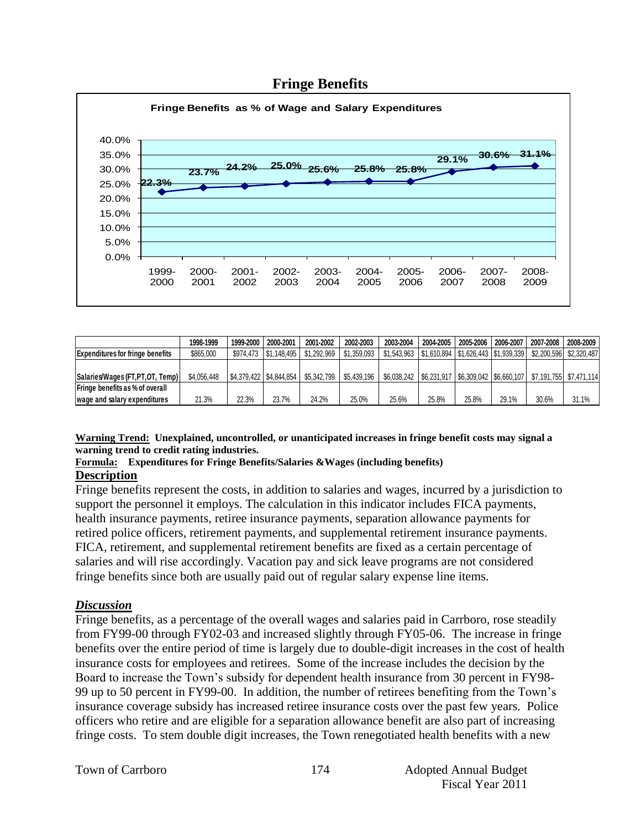![](_page_15_Figure_0.jpeg)

## **Fringe Benefits**

|                                         | 1998-1999   | 1999-2000 | 2000-2001               | 2001-2002   | 2002-2003   | 2003-2004                                             | 2004-2005 | 2005-2006 | 2006-2007 | 2007-2008               | 2008-2009 |
|-----------------------------------------|-------------|-----------|-------------------------|-------------|-------------|-------------------------------------------------------|-----------|-----------|-----------|-------------------------|-----------|
| <b>Expenditures for fringe benefits</b> | \$865.000   |           | \$974.473 \ \$1.148.495 | \$1,292,969 | \$1.359.093 |                                                       |           |           |           | \$2,200,596 \$2,320,487 |           |
|                                         |             |           |                         |             |             |                                                       |           |           |           |                         |           |
| Salaries/Wages (FT, PT, OT, Temp)       | \$4,056,448 |           | \$4.379.422 \$4.844.854 | \$5,342,799 | \$5.439.196 | \$6,038,242   \$6,231,917   \$6,309,042   \$6,660,107 |           |           |           |                         |           |
| <b>Fringe benefits as % of overall</b>  |             |           |                         |             |             |                                                       |           |           |           |                         |           |
| wage and salary expenditures            | 21.3%       | 22.3%     | 23.7%                   | 24.2%       | 25.0%       | 25.6%                                                 | 25.8%     | 25.8%     | 29.1%     | 30.6%                   | 31.1%     |

#### **Warning Trend: Unexplained, uncontrolled, or unanticipated increases in fringe benefit costs may signal a warning trend to credit rating industries.**

#### **Formula: Expenditures for Fringe Benefits/Salaries &Wages (including benefits) Description**

Fringe benefits represent the costs, in addition to salaries and wages, incurred by a jurisdiction to support the personnel it employs. The calculation in this indicator includes FICA payments, health insurance payments, retiree insurance payments, separation allowance payments for retired police officers, retirement payments, and supplemental retirement insurance payments. FICA, retirement, and supplemental retirement benefits are fixed as a certain percentage of salaries and will rise accordingly. Vacation pay and sick leave programs are not considered

fringe benefits since both are usually paid out of regular salary expense line items.

## *Discussion*

Fringe benefits, as a percentage of the overall wages and salaries paid in Carrboro, rose steadily from FY99-00 through FY02-03 and increased slightly through FY05-06. The increase in fringe benefits over the entire period of time is largely due to double-digit increases in the cost of health insurance costs for employees and retirees. Some of the increase includes the decision by the Board to increase the Town's subsidy for dependent health insurance from 30 percent in FY98- 99 up to 50 percent in FY99-00. In addition, the number of retirees benefiting from the Town's insurance coverage subsidy has increased retiree insurance costs over the past few years. Police officers who retire and are eligible for a separation allowance benefit are also part of increasing fringe costs. To stem double digit increases, the Town renegotiated health benefits with a new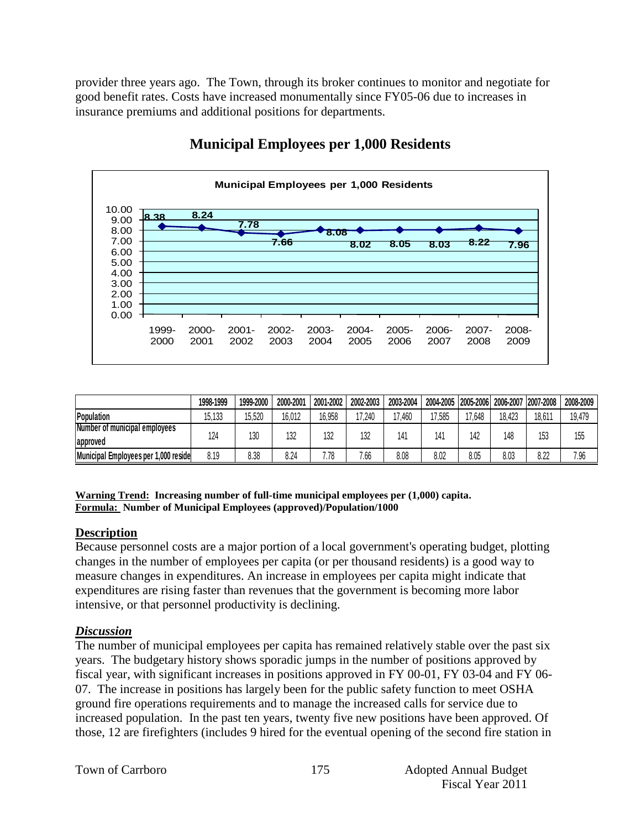provider three years ago. The Town, through its broker continues to monitor and negotiate for good benefit rates. Costs have increased monumentally since FY05-06 due to increases in insurance premiums and additional positions for departments.

![](_page_16_Figure_1.jpeg)

# **Municipal Employees per 1,000 Residents**

|                                      | 1998-1999 | 1999-2000 | 2000-200 | 2001-2002 | 2002-2003 | 2003-2004 | 2004-2005 |        | 2005-2006 2006-2007 2007-2008 |        | 2008-2009 |
|--------------------------------------|-----------|-----------|----------|-----------|-----------|-----------|-----------|--------|-------------------------------|--------|-----------|
| Population                           | 15,133    | 15,520    | 16,012   | 16,958    | 17,240    | 460,      | 17,585    | 17,648 | 18,423                        | 18.61' | 19,479    |
| Number of municipal employees        | 124       |           | 132      |           |           | 14'       | 141       | 142    | 148                           |        |           |
| approved                             |           | 130       |          | 132       | 132       |           |           |        |                               | 153    | 155       |
| Municipal Employees per 1,000 reside | 8.19      | 8.38      | 8.24     | 7.78      | 7.66      | 8.08      | 8.02      | 8.05   | 8.03                          | 8.22   | 7.96      |

**Warning Trend: Increasing number of full-time municipal employees per (1,000) capita. Formula: Number of Municipal Employees (approved)/Population/1000**

## **Description**

Because personnel costs are a major portion of a local government's operating budget, plotting changes in the number of employees per capita (or per thousand residents) is a good way to measure changes in expenditures. An increase in employees per capita might indicate that expenditures are rising faster than revenues that the government is becoming more labor intensive, or that personnel productivity is declining.

## *Discussion*

The number of municipal employees per capita has remained relatively stable over the past six years. The budgetary history shows sporadic jumps in the number of positions approved by fiscal year, with significant increases in positions approved in FY 00-01, FY 03-04 and FY 06- 07. The increase in positions has largely been for the public safety function to meet OSHA ground fire operations requirements and to manage the increased calls for service due to increased population. In the past ten years, twenty five new positions have been approved. Of those, 12 are firefighters (includes 9 hired for the eventual opening of the second fire station in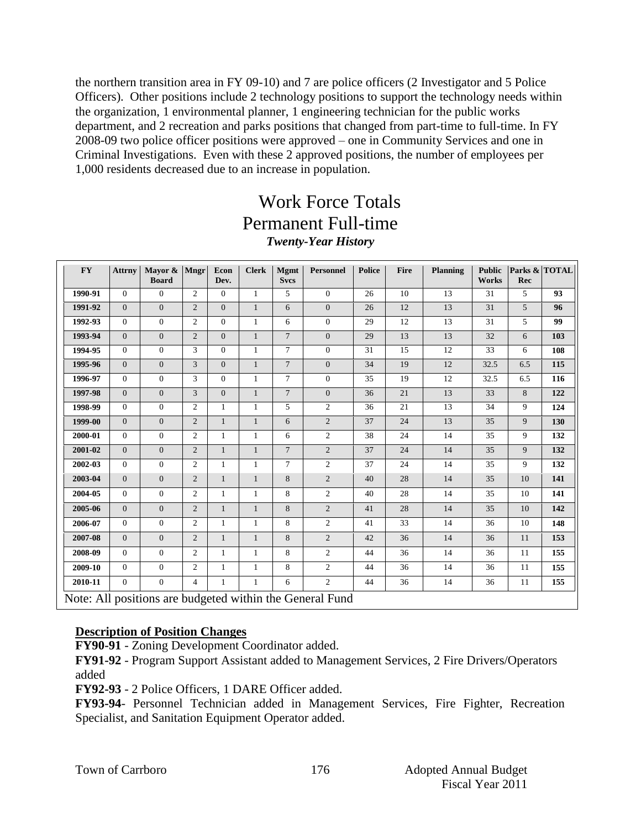the northern transition area in FY 09-10) and 7 are police officers (2 Investigator and 5 Police Officers). Other positions include 2 technology positions to support the technology needs within the organization, 1 environmental planner, 1 engineering technician for the public works department, and 2 recreation and parks positions that changed from part-time to full-time. In FY 2008-09 two police officer positions were approved – one in Community Services and one in Criminal Investigations. Even with these 2 approved positions, the number of employees per 1,000 residents decreased due to an increase in population.

# Work Force Totals Permanent Full-time *Twenty-Year History*

| <b>FY</b> | <b>Attrny</b>                                            | Mayor & Mngr<br><b>Board</b> |                | Econ<br>Dev.   | <b>Clerk</b> | <b>Mgmt</b><br><b>Svcs</b> | <b>Personnel</b> | <b>Police</b> | <b>Fire</b> | <b>Planning</b> | <b>Public</b><br><b>Works</b> | Rec            | Parks & TOTAL |
|-----------|----------------------------------------------------------|------------------------------|----------------|----------------|--------------|----------------------------|------------------|---------------|-------------|-----------------|-------------------------------|----------------|---------------|
| 1990-91   | $\Omega$                                                 | $\Omega$                     | 2              | $\overline{0}$ | $\mathbf{1}$ | 5                          | $\Omega$         | 26            | 10          | 13              | 31                            | 5              | 93            |
| 1991-92   | $\Omega$                                                 | $\Omega$                     | $\overline{c}$ | $\Omega$       | $\mathbf{1}$ | 6                          | $\overline{0}$   | 26            | 12          | 13              | 31                            | $\overline{5}$ | 96            |
| 1992-93   | $\Omega$                                                 | $\Omega$                     | $\overline{2}$ | $\mathbf{0}$   | $\mathbf{1}$ | 6                          | $\theta$         | 29            | 12          | 13              | 31                            | 5              | 99            |
| 1993-94   | $\Omega$                                                 | $\overline{0}$               | $\overline{2}$ | $\overline{0}$ | $\mathbf{1}$ | $\overline{7}$             | $\mathbf{0}$     | 29            | 13          | 13              | $32\,$                        | 6              | 103           |
| 1994-95   | $\overline{0}$                                           | $\overline{0}$               | 3              | $\mathbf{0}$   | $\mathbf{1}$ | $\tau$                     | $\theta$         | 31            | 15          | $12\,$          | 33                            | 6              | 108           |
| 1995-96   | $\Omega$                                                 | $\overline{0}$               | 3              | $\overline{0}$ | $\mathbf{1}$ | $\overline{7}$             | $\mathbf{0}$     | 34            | 19          | 12              | 32.5                          | 6.5            | 115           |
| 1996-97   | $\mathbf{0}$                                             | $\overline{0}$               | 3              | $\mathbf{0}$   | $\mathbf{1}$ | $\tau$                     | $\mathbf{0}$     | 35            | 19          | 12              | 32.5                          | 6.5            | 116           |
| 1997-98   | $\overline{0}$                                           | $\overline{0}$               | 3              | $\overline{0}$ | $\mathbf{1}$ | $\overline{7}$             | $\mathbf{0}$     | 36            | 21          | 13              | 33                            | 8              | 122           |
| 1998-99   | $\Omega$                                                 | $\overline{0}$               | $\overline{2}$ | 1              | 1            | 5                          | $\overline{c}$   | 36            | 21          | 13              | 34                            | 9              | 124           |
| 1999-00   | $\mathbf{0}$                                             | $\overline{0}$               | 2              | $\mathbf{1}$   | $\mathbf{1}$ | 6                          | $\sqrt{2}$       | 37            | 24          | 13              | 35                            | 9              | 130           |
| 2000-01   | $\mathbf{0}$                                             | $\overline{0}$               | 2              | $\mathbf{1}$   | $\mathbf{1}$ | 6                          | $\mathbf{2}$     | 38            | 24          | 14              | 35                            | 9              | 132           |
| 2001-02   | $\mathbf{0}$                                             | $\overline{0}$               | $\overline{2}$ | $\mathbf{1}$   | $\mathbf{1}$ | $\overline{7}$             | 2                | 37            | 24          | 14              | 35                            | 9              | 132           |
| 2002-03   | $\overline{0}$                                           | $\overline{0}$               | $\overline{2}$ | $\mathbf{1}$   | $\mathbf{1}$ | $\tau$                     | $\overline{2}$   | 37            | 24          | 14              | 35                            | 9              | 132           |
| 2003-04   | $\Omega$                                                 | $\overline{0}$               | 2              | $\mathbf{1}$   | $\mathbf{1}$ | 8                          | $\sqrt{2}$       | 40            | 28          | 14              | 35                            | 10             | 141           |
| 2004-05   | $\Omega$                                                 | $\overline{0}$               | $\overline{2}$ | $\mathbf{1}$   | $\mathbf{1}$ | 8                          | $\overline{c}$   | 40            | 28          | 14              | 35                            | 10             | 141           |
| 2005-06   | $\overline{0}$                                           | $\mathbf{0}$                 | $\overline{2}$ | $\mathbf{1}$   | $\mathbf{1}$ | 8                          | 2                | 41            | 28          | 14              | 35                            | 10             | 142           |
| 2006-07   | $\overline{0}$                                           | $\overline{0}$               | $\overline{c}$ | 1              | $\mathbf{1}$ | 8                          | 2                | 41            | 33          | 14              | 36                            | 10             | 148           |
| 2007-08   | $\overline{0}$                                           | $\overline{0}$               | $\overline{2}$ | $\mathbf{1}$   | $\mathbf{1}$ | 8                          | $\overline{2}$   | 42            | 36          | 14              | 36                            | 11             | 153           |
| 2008-09   | $\Omega$                                                 | $\overline{0}$               | $\overline{2}$ | $\mathbf{1}$   | $\mathbf{1}$ | 8                          | $\overline{2}$   | 44            | 36          | 14              | 36                            | 11             | 155           |
| 2009-10   | $\Omega$                                                 | $\overline{0}$               | $\mathbf{2}$   | $\mathbf{1}$   | $\mathbf{1}$ | 8                          | $\overline{c}$   | 44            | 36          | 14              | 36                            | 11             | 155           |
| 2010-11   | $\boldsymbol{0}$                                         | $\mathbf{0}$                 | 4              | $\mathbf{1}$   | $\mathbf{1}$ | 6                          | $\overline{c}$   | 44            | 36          | 14              | 36                            | 11             | 155           |
|           | Note: All positions are budgeted within the General Fund |                              |                |                |              |                            |                  |               |             |                 |                               |                |               |

## **Description of Position Changes**

**FY90-91** - Zoning Development Coordinator added.

**FY91-92** - Program Support Assistant added to Management Services, 2 Fire Drivers/Operators added

**FY92-93** - 2 Police Officers, 1 DARE Officer added.

**FY93-94**- Personnel Technician added in Management Services, Fire Fighter, Recreation Specialist, and Sanitation Equipment Operator added.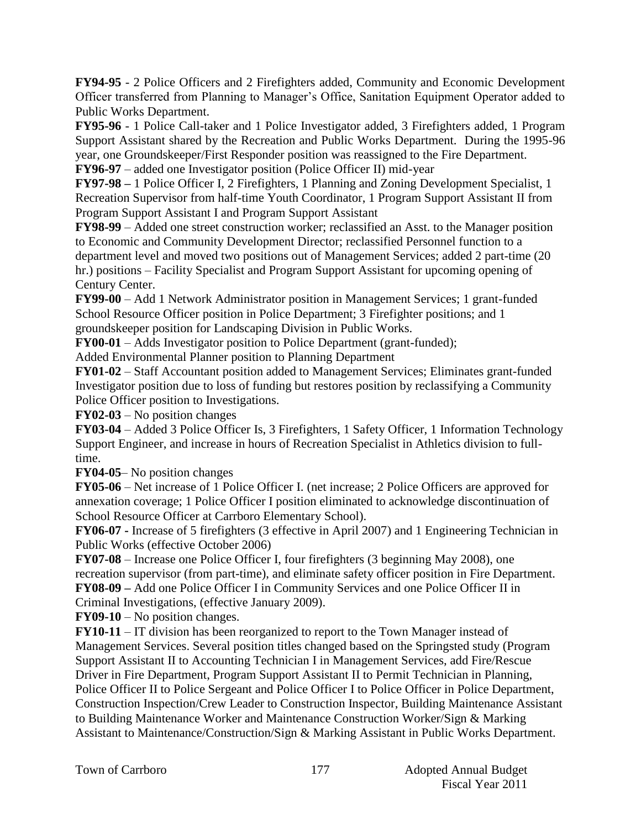**FY94-95** - 2 Police Officers and 2 Firefighters added, Community and Economic Development Officer transferred from Planning to Manager's Office, Sanitation Equipment Operator added to Public Works Department.

**FY95-96** - 1 Police Call-taker and 1 Police Investigator added, 3 Firefighters added, 1 Program Support Assistant shared by the Recreation and Public Works Department. During the 1995-96 year, one Groundskeeper/First Responder position was reassigned to the Fire Department.

**FY96-97** – added one Investigator position (Police Officer II) mid-year

**FY97-98 –** 1 Police Officer I, 2 Firefighters, 1 Planning and Zoning Development Specialist, 1 Recreation Supervisor from half-time Youth Coordinator, 1 Program Support Assistant II from Program Support Assistant I and Program Support Assistant

**FY98-99** – Added one street construction worker; reclassified an Asst. to the Manager position to Economic and Community Development Director; reclassified Personnel function to a department level and moved two positions out of Management Services; added 2 part-time (20 hr.) positions – Facility Specialist and Program Support Assistant for upcoming opening of Century Center.

**FY99-00** – Add 1 Network Administrator position in Management Services; 1 grant-funded School Resource Officer position in Police Department; 3 Firefighter positions; and 1 groundskeeper position for Landscaping Division in Public Works.

**FY00-01** – Adds Investigator position to Police Department (grant-funded);

Added Environmental Planner position to Planning Department

**FY01-02** – Staff Accountant position added to Management Services; Eliminates grant-funded Investigator position due to loss of funding but restores position by reclassifying a Community Police Officer position to Investigations.

**FY02-03** – No position changes

**FY03-04** – Added 3 Police Officer Is, 3 Firefighters, 1 Safety Officer, 1 Information Technology Support Engineer, and increase in hours of Recreation Specialist in Athletics division to fulltime.

**FY04-05**– No position changes

**FY05-06** – Net increase of 1 Police Officer I. (net increase; 2 Police Officers are approved for annexation coverage; 1 Police Officer I position eliminated to acknowledge discontinuation of School Resource Officer at Carrboro Elementary School).

**FY06-07 -** Increase of 5 firefighters (3 effective in April 2007) and 1 Engineering Technician in Public Works (effective October 2006)

**FY07-08** – Increase one Police Officer I, four firefighters (3 beginning May 2008), one recreation supervisor (from part-time), and eliminate safety officer position in Fire Department. **FY08-09 –** Add one Police Officer I in Community Services and one Police Officer II in

Criminal Investigations, (effective January 2009).

**FY09-10** – No position changes.

**FY10-11** – IT division has been reorganized to report to the Town Manager instead of Management Services. Several position titles changed based on the Springsted study (Program Support Assistant II to Accounting Technician I in Management Services, add Fire/Rescue Driver in Fire Department, Program Support Assistant II to Permit Technician in Planning, Police Officer II to Police Sergeant and Police Officer I to Police Officer in Police Department, Construction Inspection/Crew Leader to Construction Inspector, Building Maintenance Assistant to Building Maintenance Worker and Maintenance Construction Worker/Sign & Marking Assistant to Maintenance/Construction/Sign & Marking Assistant in Public Works Department.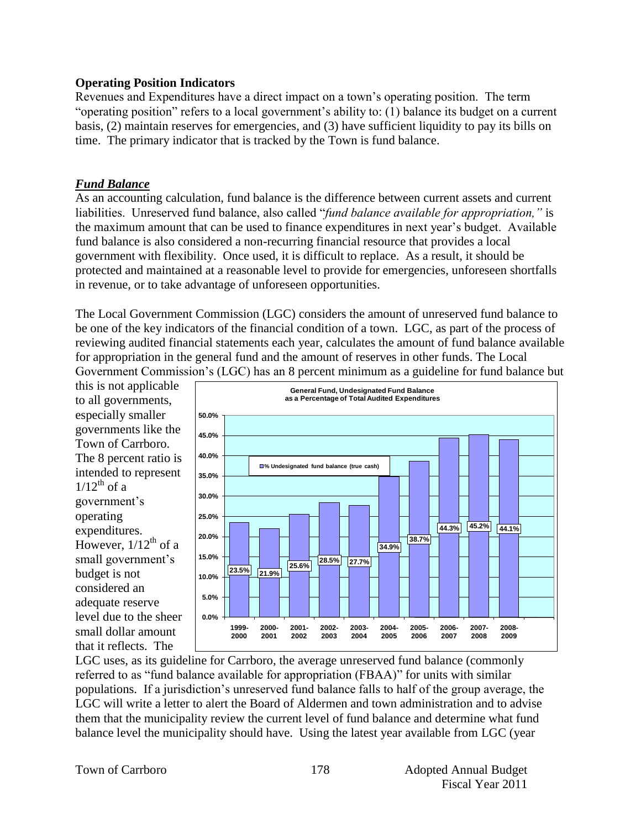#### **Operating Position Indicators**

Revenues and Expenditures have a direct impact on a town's operating position. The term "operating position" refers to a local government's ability to: (1) balance its budget on a current basis, (2) maintain reserves for emergencies, and (3) have sufficient liquidity to pay its bills on time. The primary indicator that is tracked by the Town is fund balance.

## *Fund Balance*

As an accounting calculation, fund balance is the difference between current assets and current liabilities. Unreserved fund balance, also called "*fund balance available for appropriation,"* is the maximum amount that can be used to finance expenditures in next year's budget. Available fund balance is also considered a non-recurring financial resource that provides a local government with flexibility. Once used, it is difficult to replace. As a result, it should be protected and maintained at a reasonable level to provide for emergencies, unforeseen shortfalls in revenue, or to take advantage of unforeseen opportunities.

The Local Government Commission (LGC) considers the amount of unreserved fund balance to be one of the key indicators of the financial condition of a town. LGC, as part of the process of reviewing audited financial statements each year, calculates the amount of fund balance available for appropriation in the general fund and the amount of reserves in other funds. The Local Government Commission's (LGC) has an 8 percent minimum as a guideline for fund balance but

this is not applicable to all governments, especially smaller governments like the Town of Carrboro. The 8 percent ratio is intended to represent  $1/12^{th}$  of a government's operating expenditures. However,  $1/12^{th}$  of a small government's budget is not considered an adequate reserve level due to the sheer small dollar amount that it reflects. The

![](_page_19_Figure_6.jpeg)

LGC uses, as its guideline for Carrboro, the average unreserved fund balance (commonly referred to as "fund balance available for appropriation (FBAA)" for units with similar populations. If a jurisdiction's unreserved fund balance falls to half of the group average, the LGC will write a letter to alert the Board of Aldermen and town administration and to advise them that the municipality review the current level of fund balance and determine what fund balance level the municipality should have. Using the latest year available from LGC (year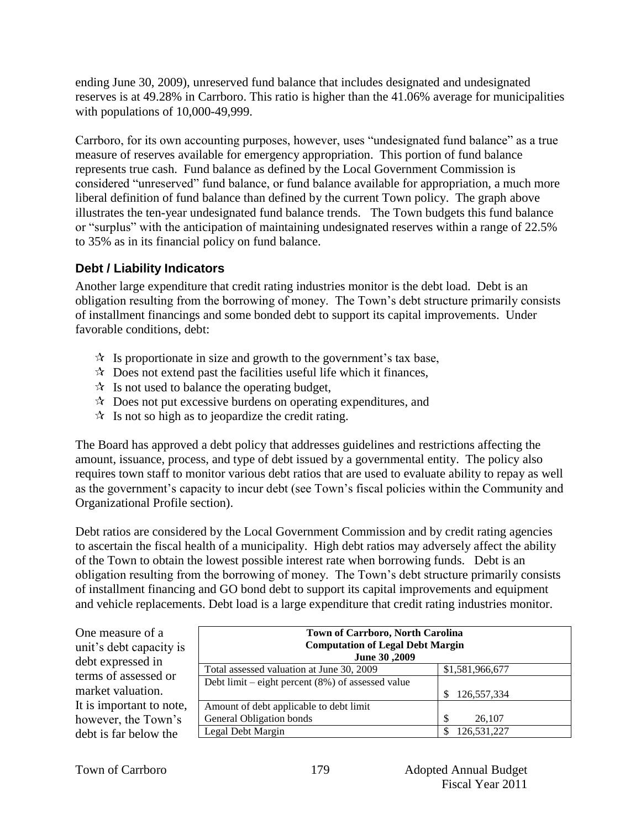ending June 30, 2009), unreserved fund balance that includes designated and undesignated reserves is at 49.28% in Carrboro. This ratio is higher than the 41.06% average for municipalities with populations of 10,000-49,999.

Carrboro, for its own accounting purposes, however, uses "undesignated fund balance" as a true measure of reserves available for emergency appropriation. This portion of fund balance represents true cash. Fund balance as defined by the Local Government Commission is considered "unreserved" fund balance, or fund balance available for appropriation, a much more liberal definition of fund balance than defined by the current Town policy. The graph above illustrates the ten-year undesignated fund balance trends. The Town budgets this fund balance or "surplus" with the anticipation of maintaining undesignated reserves within a range of 22.5% to 35% as in its financial policy on fund balance.

## **Debt / Liability Indicators**

Another large expenditure that credit rating industries monitor is the debt load. Debt is an obligation resulting from the borrowing of money. The Town's debt structure primarily consists of installment financings and some bonded debt to support its capital improvements. Under favorable conditions, debt:

- $\mathcal{R}$  Is proportionate in size and growth to the government's tax base,
- $\lambda$  Does not extend past the facilities useful life which it finances,
- $\mathcal{A}$  Is not used to balance the operating budget,
- $\mathcal{R}$  Does not put excessive burdens on operating expenditures, and
- $\mathcal{R}$  Is not so high as to jeopardize the credit rating.

The Board has approved a debt policy that addresses guidelines and restrictions affecting the amount, issuance, process, and type of debt issued by a governmental entity. The policy also requires town staff to monitor various debt ratios that are used to evaluate ability to repay as well as the government's capacity to incur debt (see Town's fiscal policies within the Community and Organizational Profile section).

Debt ratios are considered by the Local Government Commission and by credit rating agencies to ascertain the fiscal health of a municipality. High debt ratios may adversely affect the ability of the Town to obtain the lowest possible interest rate when borrowing funds. Debt is an obligation resulting from the borrowing of money. The Town's debt structure primarily consists of installment financing and GO bond debt to support its capital improvements and equipment and vehicle replacements. Debt load is a large expenditure that credit rating industries monitor.

| <b>Town of Carrboro, North Carolina</b><br><b>Computation of Legal Debt Margin</b><br>June 30,2009 |                  |  |  |  |  |  |  |  |  |
|----------------------------------------------------------------------------------------------------|------------------|--|--|--|--|--|--|--|--|
| Total assessed valuation at June 30, 2009                                                          | \$1,581,966,677  |  |  |  |  |  |  |  |  |
| Debt limit – eight percent $(8\%)$ of assessed value                                               |                  |  |  |  |  |  |  |  |  |
|                                                                                                    | 126,557,334      |  |  |  |  |  |  |  |  |
| Amount of debt applicable to debt limit                                                            |                  |  |  |  |  |  |  |  |  |
| General Obligation bonds                                                                           | \$<br>26,107     |  |  |  |  |  |  |  |  |
| Legal Debt Margin                                                                                  | 126,531,227<br>S |  |  |  |  |  |  |  |  |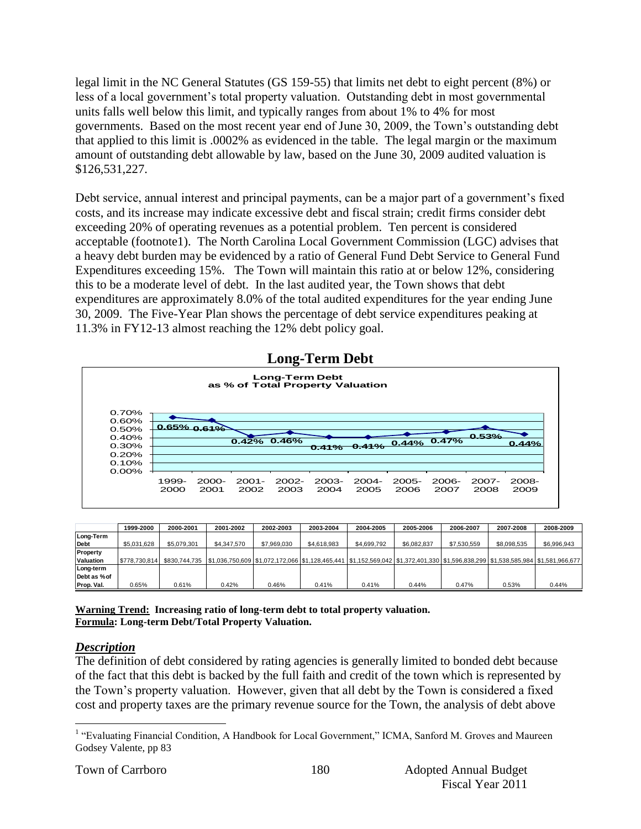legal limit in the NC General Statutes (GS 159-55) that limits net debt to eight percent (8%) or less of a local government's total property valuation. Outstanding debt in most governmental units falls well below this limit, and typically ranges from about 1% to 4% for most governments. Based on the most recent year end of June 30, 2009, the Town's outstanding debt that applied to this limit is .0002% as evidenced in the table. The legal margin or the maximum amount of outstanding debt allowable by law, based on the June 30, 2009 audited valuation is \$126,531,227.

Debt service, annual interest and principal payments, can be a major part of a government's fixed costs, and its increase may indicate excessive debt and fiscal strain; credit firms consider debt exceeding 20% of operating revenues as a potential problem. Ten percent is considered acceptable (footnote1). The North Carolina Local Government Commission (LGC) advises that a heavy debt burden may be evidenced by a ratio of General Fund Debt Service to General Fund Expenditures exceeding 15%. The Town will maintain this ratio at or below 12%, considering this to be a moderate level of debt. In the last audited year, the Town shows that debt expenditures are approximately 8.0% of the total audited expenditures for the year ending June 30, 2009. The Five-Year Plan shows the percentage of debt service expenditures peaking at 11.3% in FY12-13 almost reaching the 12% debt policy goal.

![](_page_21_Figure_2.jpeg)

| <b>Long-Term Debt</b> |  |
|-----------------------|--|
|                       |  |

|                  | 1999-2000     | 2000-2001   | 2001-2002                                                                                                                                             | 2002-2003   | 2003-2004   | 2004-2005   | 2005-2006   | 2006-2007   | 2007-2008   | 2008-2009   |
|------------------|---------------|-------------|-------------------------------------------------------------------------------------------------------------------------------------------------------|-------------|-------------|-------------|-------------|-------------|-------------|-------------|
| Long-Term        |               |             |                                                                                                                                                       |             |             |             |             |             |             |             |
| <b>Debt</b>      | \$5,031,628   | \$5,079,301 | \$4,347,570                                                                                                                                           | \$7,969,030 | \$4,618,983 | \$4,699,792 | \$6.082.837 | \$7,530,559 | \$8,098,535 | \$6,996,943 |
| Property         |               |             |                                                                                                                                                       |             |             |             |             |             |             |             |
| <b>Valuation</b> | \$778,730,814 |             | \$830,744,735  \$1,036,750,609  \$1,072,172,066  \$1,128,465,441  \$1,152,569,042  \$1,372,401,330  \$1,596,838,299  \$1,538,585,984  \$1,581,966,677 |             |             |             |             |             |             |             |
| Long-term        |               |             |                                                                                                                                                       |             |             |             |             |             |             |             |
| Debt as % of     |               |             |                                                                                                                                                       |             |             |             |             |             |             |             |
| Prop. Val.       | 0.65%         | 0.61%       | 0.42%                                                                                                                                                 | 0.46%       | 0.41%       | 0.41%       | 0.44%       | 0.47%       | 0.53%       | 0.44%       |

**Warning Trend: Increasing ratio of long-term debt to total property valuation. Formula: Long-term Debt/Total Property Valuation.**

## *Description*

The definition of debt considered by rating agencies is generally limited to bonded debt because of the fact that this debt is backed by the full faith and credit of the town which is represented by the Town's property valuation. However, given that all debt by the Town is considered a fixed cost and property taxes are the primary revenue source for the Town, the analysis of debt above

 $\overline{a}$ <sup>1</sup> "Evaluating Financial Condition, A Handbook for Local Government," ICMA, Sanford M. Groves and Maureen Godsey Valente, pp 83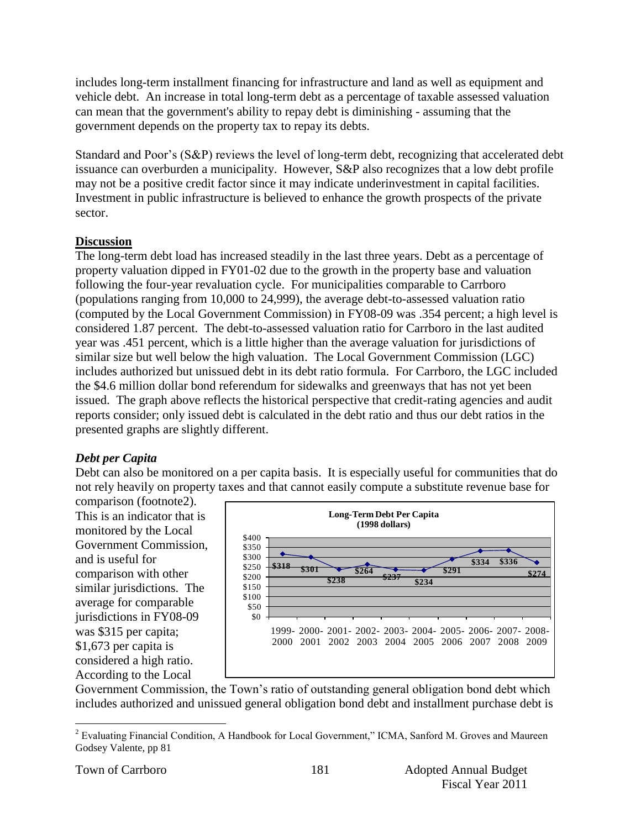includes long-term installment financing for infrastructure and land as well as equipment and vehicle debt. An increase in total long-term debt as a percentage of taxable assessed valuation can mean that the government's ability to repay debt is diminishing - assuming that the government depends on the property tax to repay its debts.

Standard and Poor's (S&P) reviews the level of long-term debt, recognizing that accelerated debt issuance can overburden a municipality. However, S&P also recognizes that a low debt profile may not be a positive credit factor since it may indicate underinvestment in capital facilities. Investment in public infrastructure is believed to enhance the growth prospects of the private sector.

## **Discussion**

The long-term debt load has increased steadily in the last three years. Debt as a percentage of property valuation dipped in FY01-02 due to the growth in the property base and valuation following the four-year revaluation cycle. For municipalities comparable to Carrboro (populations ranging from 10,000 to 24,999), the average debt-to-assessed valuation ratio (computed by the Local Government Commission) in FY08-09 was .354 percent; a high level is considered 1.87 percent. The debt-to-assessed valuation ratio for Carrboro in the last audited year was .451 percent, which is a little higher than the average valuation for jurisdictions of similar size but well below the high valuation. The Local Government Commission (LGC) includes authorized but unissued debt in its debt ratio formula. For Carrboro, the LGC included the \$4.6 million dollar bond referendum for sidewalks and greenways that has not yet been issued. The graph above reflects the historical perspective that credit-rating agencies and audit reports consider; only issued debt is calculated in the debt ratio and thus our debt ratios in the presented graphs are slightly different.

## *Debt per Capita*

Debt can also be monitored on a per capita basis. It is especially useful for communities that do not rely heavily on property taxes and that cannot easily compute a substitute revenue base for

comparison (footnote2). This is an indicator that is monitored by the Local Government Commission, and is useful for comparison with other similar jurisdictions. The average for comparable jurisdictions in FY08-09 was \$315 per capita; \$1,673 per capita is considered a high ratio. According to the Local

![](_page_22_Figure_7.jpeg)

Government Commission, the Town's ratio of outstanding general obligation bond debt which includes authorized and unissued general obligation bond debt and installment purchase debt is

 $\overline{a}$ <sup>2</sup> Evaluating Financial Condition, A Handbook for Local Government," ICMA, Sanford M. Groves and Maureen Godsey Valente, pp 81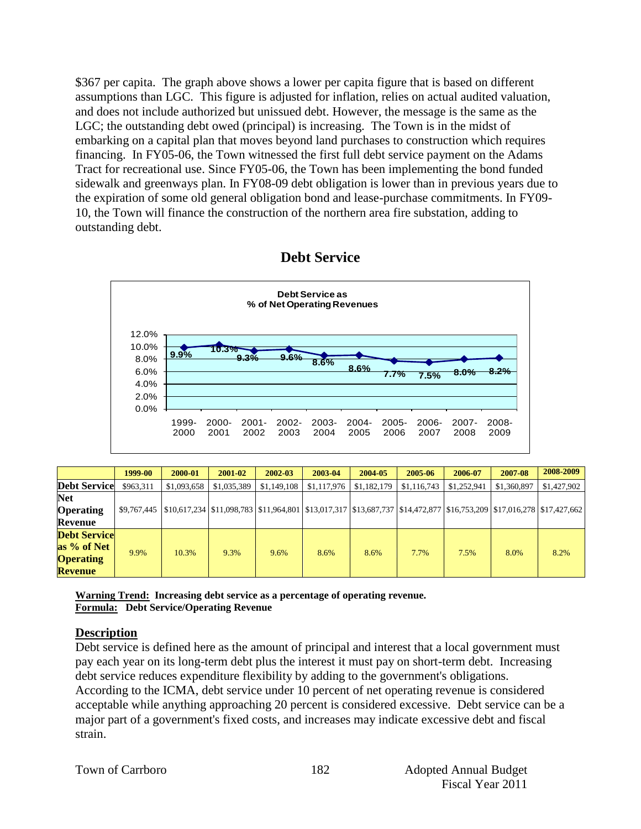\$367 per capita. The graph above shows a lower per capita figure that is based on different assumptions than LGC. This figure is adjusted for inflation, relies on actual audited valuation, and does not include authorized but unissued debt. However, the message is the same as the LGC; the outstanding debt owed (principal) is increasing. The Town is in the midst of embarking on a capital plan that moves beyond land purchases to construction which requires financing. In FY05-06, the Town witnessed the first full debt service payment on the Adams Tract for recreational use. Since FY05-06, the Town has been implementing the bond funded sidewalk and greenways plan. In FY08-09 debt obligation is lower than in previous years due to the expiration of some old general obligation bond and lease-purchase commitments. In FY09- 10, the Town will finance the construction of the northern area fire substation, adding to outstanding debt.

## **Debt Service**

![](_page_23_Figure_2.jpeg)

|                                                                          | 1999-00     | 2000-01                                                                                                                      | 2001-02     | 2002-03     | 2003-04     | 2004-05     | 2005-06     | 2006-07     | 2007-08     | 2008-2009   |
|--------------------------------------------------------------------------|-------------|------------------------------------------------------------------------------------------------------------------------------|-------------|-------------|-------------|-------------|-------------|-------------|-------------|-------------|
| <b>Debt Service</b>                                                      | \$963,311   | \$1,093,658                                                                                                                  | \$1,035,389 | \$1,149,108 | \$1,117,976 | \$1,182,179 | \$1,116,743 | \$1,252,941 | \$1,360,897 | \$1,427,902 |
| <b>Net</b><br><b>Operating</b><br>Revenue                                | \$9,767,445 | \$10,617,234  \$11,098,783  \$11,964,801  \$13,017,317  \$13,687,737  \$14,472,877  \$16,753,209  \$17,016,278  \$17,427,662 |             |             |             |             |             |             |             |             |
| <b>Debt Service</b><br>as % of Net<br><b>Operating</b><br><b>Revenue</b> | 9.9%        | 10.3%                                                                                                                        | 9.3%        | 9.6%        | 8.6%        | 8.6%        | 7.7%        | 7.5%        | 8.0%        | 8.2%        |

**Warning Trend: Increasing debt service as a percentage of operating revenue. Formula: Debt Service/Operating Revenue**

## **Description**

Debt service is defined here as the amount of principal and interest that a local government must pay each year on its long-term debt plus the interest it must pay on short-term debt. Increasing debt service reduces expenditure flexibility by adding to the government's obligations. According to the ICMA, debt service under 10 percent of net operating revenue is considered acceptable while anything approaching 20 percent is considered excessive. Debt service can be a major part of a government's fixed costs, and increases may indicate excessive debt and fiscal strain.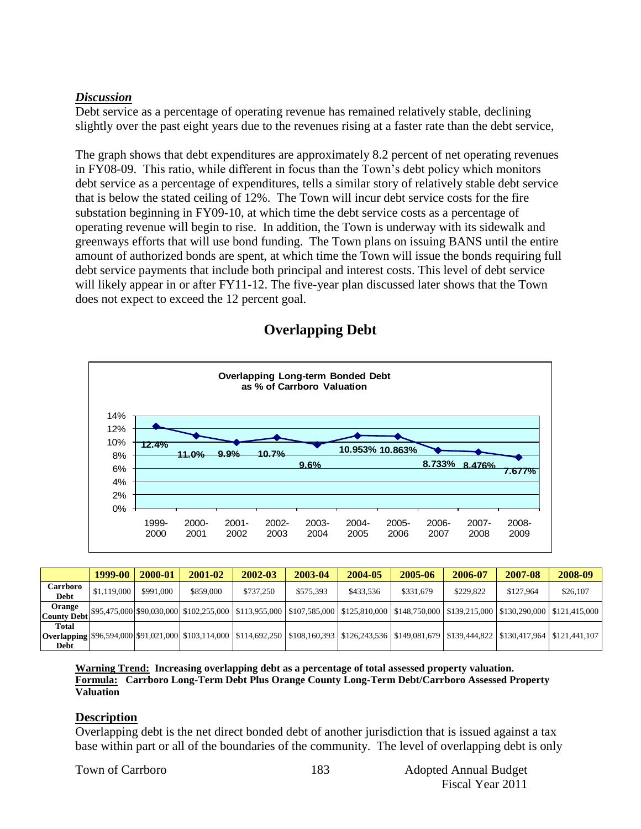## *Discussion*

Debt service as a percentage of operating revenue has remained relatively stable, declining slightly over the past eight years due to the revenues rising at a faster rate than the debt service,

The graph shows that debt expenditures are approximately 8.2 percent of net operating revenues in FY08-09. This ratio, while different in focus than the Town's debt policy which monitors debt service as a percentage of expenditures, tells a similar story of relatively stable debt service that is below the stated ceiling of 12%. The Town will incur debt service costs for the fire substation beginning in FY09-10, at which time the debt service costs as a percentage of operating revenue will begin to rise. In addition, the Town is underway with its sidewalk and greenways efforts that will use bond funding. The Town plans on issuing BANS until the entire amount of authorized bonds are spent, at which time the Town will issue the bonds requiring full debt service payments that include both principal and interest costs. This level of debt service will likely appear in or after FY11-12. The five-year plan discussed later shows that the Town does not expect to exceed the 12 percent goal.

![](_page_24_Figure_3.jpeg)

# **Overlapping Debt**

|                              | 1999-00     | 2000-01   | 2001-02   | 2002-03   | 2003-04   | 2004-05   | 2005-06   | 2006-07   | 2007-08   | 2008-09                                                                                                                                                       |
|------------------------------|-------------|-----------|-----------|-----------|-----------|-----------|-----------|-----------|-----------|---------------------------------------------------------------------------------------------------------------------------------------------------------------|
| <b>Carrboro</b><br>Debt      | \$1,119,000 | \$991,000 | \$859,000 | \$737,250 | \$575.393 | \$433,536 | \$331,679 | \$229,822 | \$127,964 | \$26,107                                                                                                                                                      |
| Orange<br><b>County Debt</b> |             |           |           |           |           |           |           |           |           | , [\$95,475,000  \$90,030,000   \$102,255,000   \$113,955,000   \$107,585,000   \$125,810,000   \$148,750,000   \$139,215,000   \$130,290,000   \$121,415,000 |
| <b>Total</b><br><b>Debt</b>  |             |           |           |           |           |           |           |           |           | Overlapping \$96,594,000 \$91,021,000 \$103,114,000 \$114,692,250 \$108,160,393 \$126,243,536 \$149,081,679 \$139,444.822 \$130,417,964 \$121,441,107         |

**Warning Trend: Increasing overlapping debt as a percentage of total assessed property valuation. Formula: Carrboro Long-Term Debt Plus Orange County Long-Term Debt/Carrboro Assessed Property Valuation**

## **Description**

Overlapping debt is the net direct bonded debt of another jurisdiction that is issued against a tax base within part or all of the boundaries of the community. The level of overlapping debt is only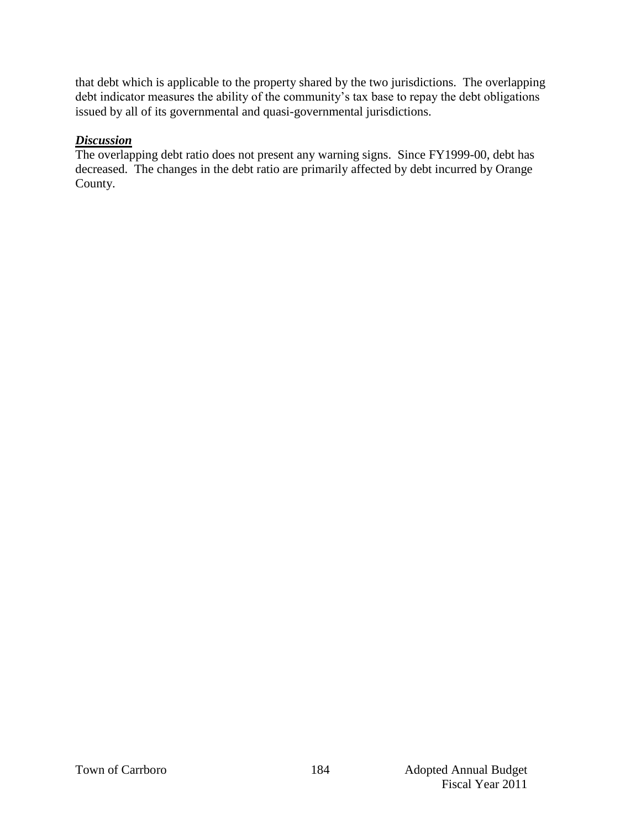that debt which is applicable to the property shared by the two jurisdictions. The overlapping debt indicator measures the ability of the community's tax base to repay the debt obligations issued by all of its governmental and quasi-governmental jurisdictions.

## *Discussion*

The overlapping debt ratio does not present any warning signs. Since FY1999-00, debt has decreased. The changes in the debt ratio are primarily affected by debt incurred by Orange County.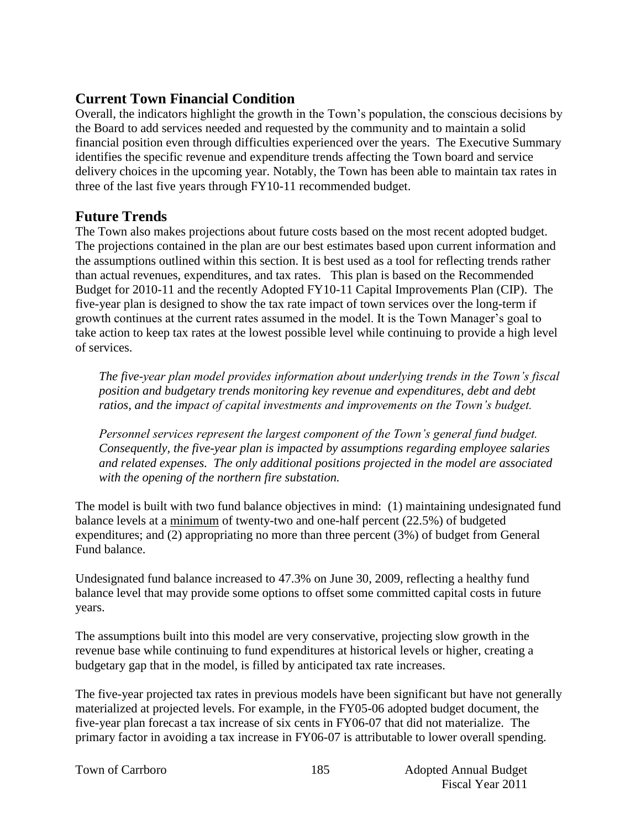# **Current Town Financial Condition**

Overall, the indicators highlight the growth in the Town's population, the conscious decisions by the Board to add services needed and requested by the community and to maintain a solid financial position even through difficulties experienced over the years. The Executive Summary identifies the specific revenue and expenditure trends affecting the Town board and service delivery choices in the upcoming year. Notably, the Town has been able to maintain tax rates in three of the last five years through FY10-11 recommended budget.

# **Future Trends**

The Town also makes projections about future costs based on the most recent adopted budget. The projections contained in the plan are our best estimates based upon current information and the assumptions outlined within this section. It is best used as a tool for reflecting trends rather than actual revenues, expenditures, and tax rates. This plan is based on the Recommended Budget for 2010-11 and the recently Adopted FY10-11 Capital Improvements Plan (CIP). The five-year plan is designed to show the tax rate impact of town services over the long-term if growth continues at the current rates assumed in the model. It is the Town Manager's goal to take action to keep tax rates at the lowest possible level while continuing to provide a high level of services.

*The five-year plan model provides information about underlying trends in the Town's fiscal position and budgetary trends monitoring key revenue and expenditures, debt and debt ratios, and the impact of capital investments and improvements on the Town's budget.* 

*Personnel services represent the largest component of the Town's general fund budget. Consequently, the five-year plan is impacted by assumptions regarding employee salaries and related expenses. The only additional positions projected in the model are associated with the opening of the northern fire substation.* 

The model is built with two fund balance objectives in mind: (1) maintaining undesignated fund balance levels at a minimum of twenty-two and one-half percent (22.5%) of budgeted expenditures; and (2) appropriating no more than three percent (3%) of budget from General Fund balance.

Undesignated fund balance increased to 47.3% on June 30, 2009, reflecting a healthy fund balance level that may provide some options to offset some committed capital costs in future years.

The assumptions built into this model are very conservative, projecting slow growth in the revenue base while continuing to fund expenditures at historical levels or higher, creating a budgetary gap that in the model, is filled by anticipated tax rate increases.

The five-year projected tax rates in previous models have been significant but have not generally materialized at projected levels. For example, in the FY05-06 adopted budget document, the five-year plan forecast a tax increase of six cents in FY06-07 that did not materialize. The primary factor in avoiding a tax increase in FY06-07 is attributable to lower overall spending.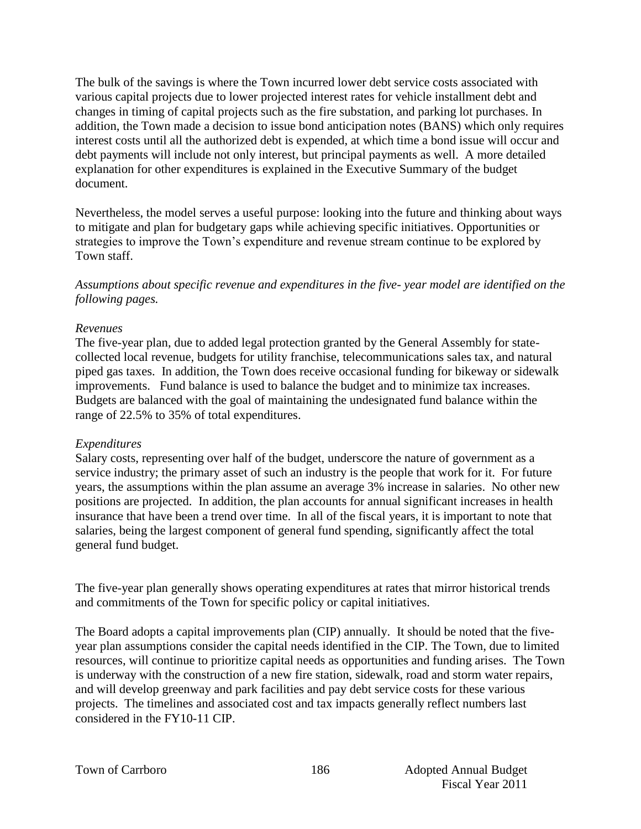The bulk of the savings is where the Town incurred lower debt service costs associated with various capital projects due to lower projected interest rates for vehicle installment debt and changes in timing of capital projects such as the fire substation, and parking lot purchases. In addition, the Town made a decision to issue bond anticipation notes (BANS) which only requires interest costs until all the authorized debt is expended, at which time a bond issue will occur and debt payments will include not only interest, but principal payments as well. A more detailed explanation for other expenditures is explained in the Executive Summary of the budget document.

Nevertheless, the model serves a useful purpose: looking into the future and thinking about ways to mitigate and plan for budgetary gaps while achieving specific initiatives. Opportunities or strategies to improve the Town's expenditure and revenue stream continue to be explored by Town staff.

*Assumptions about specific revenue and expenditures in the five- year model are identified on the following pages.*

#### *Revenues*

The five-year plan, due to added legal protection granted by the General Assembly for statecollected local revenue, budgets for utility franchise, telecommunications sales tax, and natural piped gas taxes. In addition, the Town does receive occasional funding for bikeway or sidewalk improvements. Fund balance is used to balance the budget and to minimize tax increases. Budgets are balanced with the goal of maintaining the undesignated fund balance within the range of 22.5% to 35% of total expenditures.

#### *Expenditures*

Salary costs, representing over half of the budget, underscore the nature of government as a service industry; the primary asset of such an industry is the people that work for it. For future years, the assumptions within the plan assume an average 3% increase in salaries. No other new positions are projected. In addition, the plan accounts for annual significant increases in health insurance that have been a trend over time. In all of the fiscal years, it is important to note that salaries, being the largest component of general fund spending, significantly affect the total general fund budget.

The five-year plan generally shows operating expenditures at rates that mirror historical trends and commitments of the Town for specific policy or capital initiatives.

The Board adopts a capital improvements plan (CIP) annually. It should be noted that the fiveyear plan assumptions consider the capital needs identified in the CIP. The Town, due to limited resources, will continue to prioritize capital needs as opportunities and funding arises. The Town is underway with the construction of a new fire station, sidewalk, road and storm water repairs, and will develop greenway and park facilities and pay debt service costs for these various projects. The timelines and associated cost and tax impacts generally reflect numbers last considered in the FY10-11 CIP.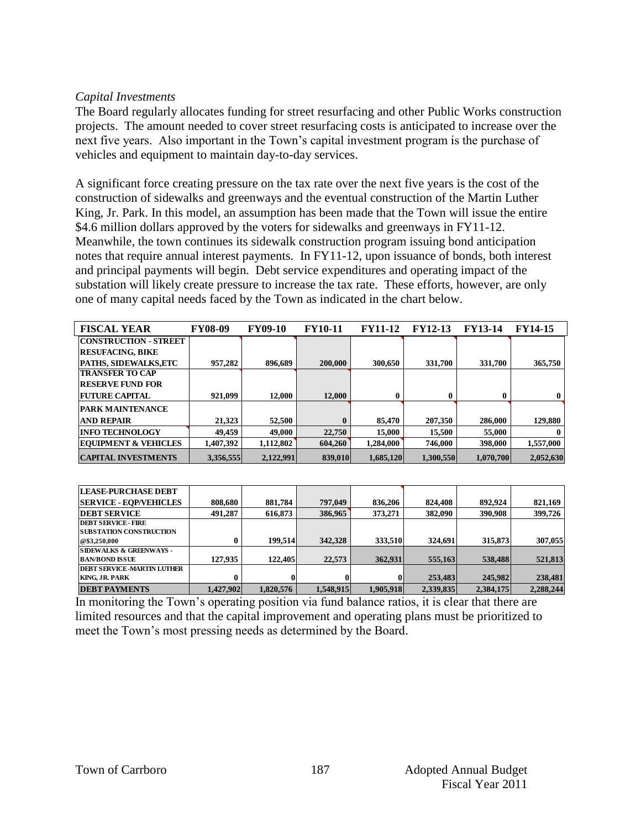#### *Capital Investments*

The Board regularly allocates funding for street resurfacing and other Public Works construction projects. The amount needed to cover street resurfacing costs is anticipated to increase over the next five years. Also important in the Town's capital investment program is the purchase of vehicles and equipment to maintain day-to-day services.

A significant force creating pressure on the tax rate over the next five years is the cost of the construction of sidewalks and greenways and the eventual construction of the Martin Luther King, Jr. Park. In this model, an assumption has been made that the Town will issue the entire \$4.6 million dollars approved by the voters for sidewalks and greenways in FY11-12. Meanwhile, the town continues its sidewalk construction program issuing bond anticipation notes that require annual interest payments. In FY11-12, upon issuance of bonds, both interest and principal payments will begin. Debt service expenditures and operating impact of the substation will likely create pressure to increase the tax rate. These efforts, however, are only one of many capital needs faced by the Town as indicated in the chart below.

| <b>FISCAL YEAR</b>              | <b>FY08-09</b> | <b>FY09-10</b> | <b>FY10-11</b> | <b>FY11-12</b> | <b>FY12-13</b> | <b>FY13-14</b> | <b>FY14-15</b> |
|---------------------------------|----------------|----------------|----------------|----------------|----------------|----------------|----------------|
| <b>CONSTRUCTION - STREET</b>    |                |                |                |                |                |                |                |
| <b>RESUFACING, BIKE</b>         |                |                |                |                |                |                |                |
| PATHS, SIDEWALKS,ETC            | 957,282        | 896,689        | 200,000        | 300,650        | 331,700        | 331,700        | 365,750        |
| <b>TRANSFER TO CAP</b>          |                |                |                |                |                |                |                |
| <b>RESERVE FUND FOR</b>         |                |                |                |                |                |                |                |
| <b>FUTURE CAPITAL</b>           | 921.099        | 12.000         | 12.000         |                |                |                | $\mathbf{0}$   |
| <b>PARK MAINTENANCE</b>         |                |                |                |                |                |                |                |
| <b>AND REPAIR</b>               | 21,323         | 52,500         | $\mathbf{0}$   | 85,470         | 207,350        | 286,000        | 129,880        |
| <b>INFO TECHNOLOGY</b>          | 49.459         | 49,000         | 22,750         | 15,000         | 15,500         | 55,000         |                |
| <b>EQUIPMENT &amp; VEHICLES</b> | 1,407,392      | 1,112,802      | 604,260        | 1,284,000      | 746,000        | 398,000        | 1,557,000      |
| <b>CAPITAL INVESTMENTS</b>      | 3.356.555      | 2,122,991      | 839,010        | 1.685.120      | 1.300.550      | 1.070.700      | 2.052.630      |

| <b>LEASE-PURCHASE DEBT</b>         |           |           |           |           |           |           |           |
|------------------------------------|-----------|-----------|-----------|-----------|-----------|-----------|-----------|
| <b>SERVICE - EOP/VEHICLES</b>      | 808.680   | 881.784   | 797,049   | 836,206   | 824,408   | 892.924   | 821,169   |
| <b>DEBT SERVICE</b>                | 491.287   | 616,873   | 386,965   | 373,271   | 382,090   | 390,908   | 399,726   |
| <b>DEBT SERVICE - FIRE</b>         |           |           |           |           |           |           |           |
| <b>SUBSTATION CONSTRUCTION</b>     |           |           |           |           |           |           |           |
| @\$3,250,000                       | 0         | 199.514   | 342,328   | 333.510   | 324,691   | 315,873   | 307,055   |
| <b>SIDEWALKS &amp; GREENWAYS -</b> |           |           |           |           |           |           |           |
| <b>BAN/BOND ISSUE</b>              | 127,935   | 122,405   | 22,573    | 362.931   | 555,163   | 538,488   | 521,813   |
| <b>DEBT SERVICE -MARTIN LUTHER</b> |           |           |           |           |           |           |           |
| <b>KING. JR. PARK</b>              | 0         |           |           | 01        | 253,483   | 245,982   | 238,481   |
| <b>DEBT PAYMENTS</b>               | 1.427.902 | 1.820.576 | 1,548,915 | 1,905,918 | 2,339,835 | 2,384,175 | 2,288,244 |

In monitoring the Town's operating position via fund balance ratios, it is clear that there are limited resources and that the capital improvement and operating plans must be prioritized to meet the Town's most pressing needs as determined by the Board.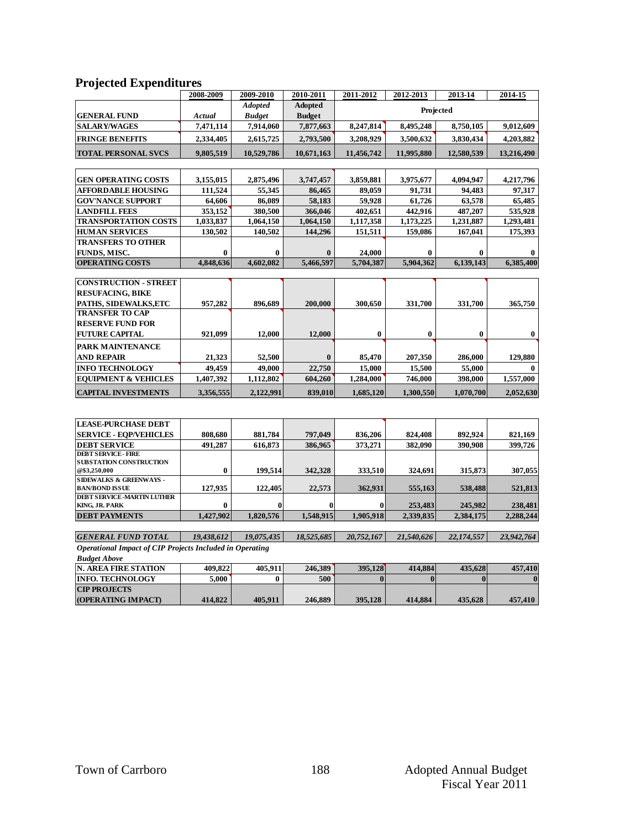## **Projected Expenditures**

| 2008-2009 | 2009-2010                                                                                                                                          | 2010-2011                                                                                                                                       | 2011-2012                                                                                                                           | 2012-2013                                                                                                                                       | 2013-14                                                                                                                                    | 2014-15                                                                                                                                             |
|-----------|----------------------------------------------------------------------------------------------------------------------------------------------------|-------------------------------------------------------------------------------------------------------------------------------------------------|-------------------------------------------------------------------------------------------------------------------------------------|-------------------------------------------------------------------------------------------------------------------------------------------------|--------------------------------------------------------------------------------------------------------------------------------------------|-----------------------------------------------------------------------------------------------------------------------------------------------------|
|           | <b>Adopted</b>                                                                                                                                     | <b>Adopted</b>                                                                                                                                  |                                                                                                                                     |                                                                                                                                                 |                                                                                                                                            |                                                                                                                                                     |
| Actual    | <b>Budget</b>                                                                                                                                      | <b>Budget</b>                                                                                                                                   |                                                                                                                                     |                                                                                                                                                 |                                                                                                                                            |                                                                                                                                                     |
| 7,471,114 | 7,914,060                                                                                                                                          | 7,877,663                                                                                                                                       | 8,247,814                                                                                                                           | 8.495.248                                                                                                                                       | 8.750.105                                                                                                                                  | 9,012,609                                                                                                                                           |
| 2,334,405 | 2,615,725                                                                                                                                          | 2,793,500                                                                                                                                       | 3.208.929                                                                                                                           | 3,500,632                                                                                                                                       | 3,830,434                                                                                                                                  | 4,203,882                                                                                                                                           |
| 9,805,519 | 10,529,786                                                                                                                                         | 10,671,163                                                                                                                                      | 11,456,742                                                                                                                          | 11,995,880                                                                                                                                      | 12,580,539                                                                                                                                 | 13,216,490                                                                                                                                          |
|           |                                                                                                                                                    |                                                                                                                                                 |                                                                                                                                     |                                                                                                                                                 |                                                                                                                                            |                                                                                                                                                     |
|           |                                                                                                                                                    |                                                                                                                                                 |                                                                                                                                     |                                                                                                                                                 |                                                                                                                                            | 4,217,796                                                                                                                                           |
|           |                                                                                                                                                    |                                                                                                                                                 |                                                                                                                                     |                                                                                                                                                 |                                                                                                                                            | 97,317                                                                                                                                              |
|           |                                                                                                                                                    |                                                                                                                                                 |                                                                                                                                     |                                                                                                                                                 |                                                                                                                                            | 65,485                                                                                                                                              |
|           |                                                                                                                                                    |                                                                                                                                                 |                                                                                                                                     |                                                                                                                                                 |                                                                                                                                            | 535,928                                                                                                                                             |
|           |                                                                                                                                                    |                                                                                                                                                 |                                                                                                                                     |                                                                                                                                                 |                                                                                                                                            | 1.293.481                                                                                                                                           |
|           |                                                                                                                                                    |                                                                                                                                                 |                                                                                                                                     |                                                                                                                                                 |                                                                                                                                            | 175,393                                                                                                                                             |
|           |                                                                                                                                                    |                                                                                                                                                 |                                                                                                                                     |                                                                                                                                                 |                                                                                                                                            |                                                                                                                                                     |
|           |                                                                                                                                                    |                                                                                                                                                 |                                                                                                                                     |                                                                                                                                                 |                                                                                                                                            |                                                                                                                                                     |
|           |                                                                                                                                                    |                                                                                                                                                 |                                                                                                                                     |                                                                                                                                                 |                                                                                                                                            | 6,385,400                                                                                                                                           |
|           |                                                                                                                                                    |                                                                                                                                                 |                                                                                                                                     |                                                                                                                                                 |                                                                                                                                            |                                                                                                                                                     |
|           |                                                                                                                                                    |                                                                                                                                                 |                                                                                                                                     |                                                                                                                                                 |                                                                                                                                            |                                                                                                                                                     |
|           |                                                                                                                                                    |                                                                                                                                                 |                                                                                                                                     |                                                                                                                                                 |                                                                                                                                            |                                                                                                                                                     |
|           |                                                                                                                                                    |                                                                                                                                                 |                                                                                                                                     |                                                                                                                                                 |                                                                                                                                            |                                                                                                                                                     |
|           |                                                                                                                                                    |                                                                                                                                                 |                                                                                                                                     |                                                                                                                                                 |                                                                                                                                            | 365,750                                                                                                                                             |
|           |                                                                                                                                                    |                                                                                                                                                 |                                                                                                                                     |                                                                                                                                                 |                                                                                                                                            |                                                                                                                                                     |
|           |                                                                                                                                                    |                                                                                                                                                 |                                                                                                                                     |                                                                                                                                                 |                                                                                                                                            |                                                                                                                                                     |
|           |                                                                                                                                                    |                                                                                                                                                 |                                                                                                                                     |                                                                                                                                                 |                                                                                                                                            | $\bf{0}$                                                                                                                                            |
|           |                                                                                                                                                    |                                                                                                                                                 |                                                                                                                                     |                                                                                                                                                 |                                                                                                                                            |                                                                                                                                                     |
| 21,323    | 52,500                                                                                                                                             | $\bf{0}$                                                                                                                                        | 85,470                                                                                                                              | 207,350                                                                                                                                         | 286,000                                                                                                                                    | 129,880                                                                                                                                             |
| 49.459    | 49,000                                                                                                                                             | 22,750                                                                                                                                          | 15,000                                                                                                                              | 15,500                                                                                                                                          | 55,000                                                                                                                                     | $\mathbf{0}$                                                                                                                                        |
| 1,407,392 | 1,112,802                                                                                                                                          | 604.260                                                                                                                                         | 1,284,000                                                                                                                           | 746,000                                                                                                                                         | 398,000                                                                                                                                    | 1,557,000                                                                                                                                           |
| 3,356,555 | 2.122.991                                                                                                                                          | 839,010                                                                                                                                         | 1,685,120                                                                                                                           | 1,300,550                                                                                                                                       | 1,070,700                                                                                                                                  | 2,052,630                                                                                                                                           |
|           |                                                                                                                                                    |                                                                                                                                                 |                                                                                                                                     |                                                                                                                                                 |                                                                                                                                            |                                                                                                                                                     |
|           |                                                                                                                                                    |                                                                                                                                                 |                                                                                                                                     |                                                                                                                                                 |                                                                                                                                            |                                                                                                                                                     |
| 808,680   |                                                                                                                                                    | 797,049                                                                                                                                         |                                                                                                                                     |                                                                                                                                                 | 892.924                                                                                                                                    | 821,169                                                                                                                                             |
|           |                                                                                                                                                    |                                                                                                                                                 |                                                                                                                                     |                                                                                                                                                 |                                                                                                                                            | 399,726                                                                                                                                             |
|           |                                                                                                                                                    |                                                                                                                                                 |                                                                                                                                     |                                                                                                                                                 |                                                                                                                                            |                                                                                                                                                     |
|           |                                                                                                                                                    |                                                                                                                                                 |                                                                                                                                     |                                                                                                                                                 |                                                                                                                                            |                                                                                                                                                     |
|           | 199.514                                                                                                                                            | 342,328                                                                                                                                         | 333.510                                                                                                                             | 324.691                                                                                                                                         | 315,873                                                                                                                                    | 307,055                                                                                                                                             |
|           |                                                                                                                                                    |                                                                                                                                                 |                                                                                                                                     |                                                                                                                                                 |                                                                                                                                            |                                                                                                                                                     |
|           |                                                                                                                                                    |                                                                                                                                                 |                                                                                                                                     |                                                                                                                                                 |                                                                                                                                            | 521,813                                                                                                                                             |
| $\bf{0}$  | $\bf{0}$                                                                                                                                           | $\bf{0}$                                                                                                                                        | $\bf{0}$                                                                                                                            | 253,483                                                                                                                                         | 245,982                                                                                                                                    | 238,481                                                                                                                                             |
|           | 3,155,015<br>111,524<br>64.606<br>353,152<br>1.033.837<br>130,502<br>$\bf{0}$<br>4,848,636<br>957,282<br>921.099<br>491.287<br>$\bf{0}$<br>127,935 | 2,875,496<br>55,345<br>86.089<br>380,500<br>1.064.150<br>140,502<br>$\bf{0}$<br>4.602.082<br>896.689<br>12.000<br>881,784<br>616,873<br>122,405 | 3,747,457<br>86,465<br>58.183<br>366,046<br>1.064.150<br>144,296<br>$\bf{0}$<br>5,466,597<br>200,000<br>12.000<br>386,965<br>22,573 | 3,859,881<br>89,059<br>59.928<br>402,651<br>1,117,358<br>151,511<br>24,000<br>5,704,387<br>300,650<br>$\bf{0}$<br>836,206<br>373,271<br>362,931 | 3,975,677<br>91,731<br>61,726<br>442,916<br>1,173,225<br>159,086<br>$\bf{0}$<br>5.904.362<br>331,700<br>0<br>824,408<br>382,090<br>555,163 | Projected<br>4,094,947<br>94.483<br>63,578<br>487,207<br>1.231.887<br>167,041<br>$\bf{0}$<br>6,139,143<br>331,700<br>$\bf{0}$<br>390,908<br>538,488 |

*GENERAL FUND TOTAL 19,438,612 19,075,435 18,525,685 20,752,167 21,540,626 22,174,557 23,942,764 Operational Impact of CIP Projects Included in Operating* 

**KING, JR. PARK 0 0 0 0 253,483 245,982 238,481 DEBT PAYMENTS 1,427,902 1,820,576 1,548,915 1,905,918 2,339,835 2,384,175 2,288,244** 

*Budget Above*

| <b>N. AREA FIRE STATION</b> | 409.822 | 405.911 | 246.389 | 395,128 | 414.884 | 435.628 | 457,410 |
|-----------------------------|---------|---------|---------|---------|---------|---------|---------|
| <b>INFO. TECHNOLOGY</b>     | 5.000   |         | 500     |         |         |         |         |
| <b>CIP PROJECTS</b>         |         |         |         |         |         |         |         |
| <b>(OPERATING IMPACT)</b>   | 414,822 | 405.911 | 246,889 | 395,128 | 414.884 | 435,628 | 457,410 |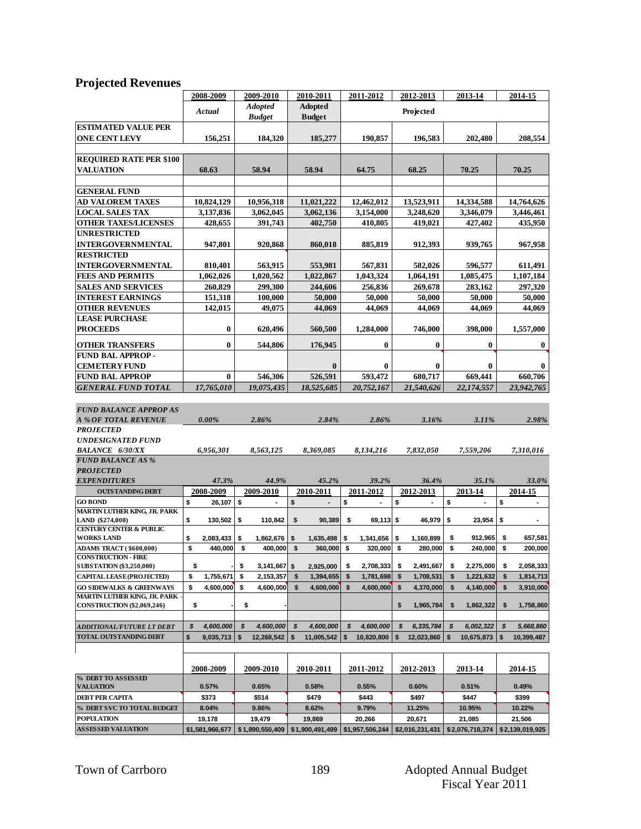# **Projected Revenues**

|                                                    | 2008-2009       | 2009-2010            | 2010-2011        | 2011-2012         | 2012-2013        | 2013-14          | 2014-15              |
|----------------------------------------------------|-----------------|----------------------|------------------|-------------------|------------------|------------------|----------------------|
|                                                    |                 | <b>Adopted</b>       | <b>Adopted</b>   |                   |                  |                  |                      |
|                                                    | Actual          | <b>Budget</b>        | <b>Budget</b>    |                   | Projected        |                  |                      |
| <b>ESTIMATED VALUE PER</b>                         |                 |                      |                  |                   |                  |                  |                      |
| <b>ONE CENT LEVY</b>                               | 156,251         | 184,320              | 185,277          | 190,857           | 196,583          | 202,480          | 208,554              |
|                                                    |                 |                      |                  |                   |                  |                  |                      |
| <b>REQUIRED RATE PER \$100</b>                     |                 |                      |                  |                   |                  |                  |                      |
| <b>VALUATION</b>                                   | 68.63           | 58.94                | 58.94            | 64.75             | 68.25            | 70.25            | 70.25                |
|                                                    |                 |                      |                  |                   |                  |                  |                      |
| <b>GENERAL FUND</b>                                |                 |                      |                  |                   |                  |                  |                      |
| AD VALOREM TAXES                                   | 10,824,129      | 10,956,318           | 11,021,222       | 12,462,012        | 13,523,911       | 14,334,588       | 14,764,626           |
| <b>LOCAL SALES TAX</b>                             |                 |                      | 3,062,136        |                   | 3,248,620        |                  |                      |
| <b>OTHER TAXES/LICENSES</b>                        | 3,137,836       | 3,062,045            |                  | 3,154,000         |                  | 3,346,079        | 3,446,461<br>435,950 |
|                                                    | 428,655         | 391,743              | 402,750          | 410,805           | 419,021          | 427,402          |                      |
| <b>UNRESTRICTED</b>                                |                 |                      |                  |                   |                  |                  |                      |
| <b>INTERGOVERNMENTAL</b>                           | 947,801         | 920,868              | 860,018          | 885,819           | 912,393          | 939,765          | 967,958              |
| <b>RESTRICTED</b>                                  |                 |                      |                  |                   |                  |                  |                      |
| <b>INTERGOVERNMENTAL</b>                           | 810,401         | 563,915              | 553,981          | 567,831           | 582,026          | 596,577          | 611,491              |
| <b>FEES AND PERMITS</b>                            | 1,062,026       | 1,020,562            | 1,022,867        | 1,043,324         | 1,064,191        | 1,085,475        | 1,107,184            |
| <b>SALES AND SERVICES</b>                          | 260,829         | 299,300              | 244,606          | 256,836           | 269,678          | 283,162          | 297,320              |
| <b>INTEREST EARNINGS</b>                           | 151,318         | 100,000              | 50,000           | 50,000            | 50,000           | 50,000           | 50,000               |
| <b>OTHER REVENUES</b>                              | 142,015         | 49,075               | 44,069           | 44,069            | 44,069           | 44,069           | 44,069               |
| <b>LEASE PURCHASE</b>                              |                 |                      |                  |                   |                  |                  |                      |
| <b>PROCEEDS</b>                                    | 0               | 620,496              | 560,500          | 1,284,000         | 746,000          | 398,000          | 1,557,000            |
| <b>OTHER TRANSFERS</b>                             | $\bf{0}$        | 544,806              | 176,945          | 0                 | $\bf{0}$         | $\bf{0}$         | $\bf{0}$             |
| <b>FUND BAL APPROP-</b>                            |                 |                      |                  |                   |                  |                  |                      |
| <b>CEMETERY FUND</b>                               |                 |                      | $\bf{0}$         | $\bf{0}$          | $\bf{0}$         | $\bf{0}$         | 0                    |
| <b>FUND BAL APPROP</b>                             | $\bf{0}$        | 546,306              | 526,591          | 593,472           | 680,717          | 669,441          | 660,706              |
| <b>GENERAL FUND TOTAL</b>                          | 17,765,010      | 19,075,435           | 18,525,685       | 20,752,167        | 21,540,626       | 22,174,557       | 23,942,765           |
|                                                    |                 |                      |                  |                   |                  |                  |                      |
|                                                    |                 |                      |                  |                   |                  |                  |                      |
| <b>FUND BALANCE APPROP AS</b>                      |                 |                      |                  |                   |                  |                  |                      |
| <b>A % OF TOTAL REVENUE</b>                        | $0.00\%$        | 2.86%                | 2.84%            | 2.86%             | 3.16%            | 3.11%            | 2.98%                |
| <b>PROJECTED</b>                                   |                 |                      |                  |                   |                  |                  |                      |
| <b>UNDESIGNATED FUND</b>                           |                 |                      |                  |                   |                  |                  |                      |
| <b>BALANCE 6/30/XX</b><br><b>FUND BALANCE AS %</b> | 6,956,301       | 8,563,125            | 8,369,085        | 8,134,216         | 7,832,050        | 7,559,206        | 7,310,016            |
| <b>PROJECTED</b>                                   |                 |                      |                  |                   |                  |                  |                      |
| <b>EXPENDITURES</b>                                | 47.3%           | 44.9%                | 45.2%            | 39.2%             | 36.4%            | 35.1%            | 33.0%                |
|                                                    |                 |                      |                  |                   |                  |                  |                      |
| <b>OUTSTANDING DEBT</b><br><b>GO BOND</b>          | 2008-2009       | 2009-2010            | 2010-2011        | 2011-2012         | 2012-2013        | 2013-14          | 2014-15              |
| MARTIN LUTHER KING, JR. PARK                       | \$<br>26,107    | \$                   | \$               | \$                | \$               | \$               | \$<br>٠              |
| LAND (\$274,000)                                   | \$<br>130,502   | \$<br>110,842        | \$<br>90,389     | \$<br>$69,113$ \$ | 46,979           | \$<br>23,954     | \$<br>$\blacksquare$ |
| <b>CENTURY CENTER &amp; PUBLIC</b>                 |                 |                      |                  |                   |                  |                  |                      |
| <b>WORKS LAND</b>                                  | \$<br>2,083,433 | \$<br>1,862,676      | \$<br>1,635,498  | \$<br>1,341,656   | \$<br>1,160,899  | \$<br>912,965    | \$<br>657,581        |
| <b>ADAMS TRACT (\$600,000)</b>                     | \$<br>440,000   | \$<br>400,000        | \$<br>360,000    | \$<br>320,000     | s.<br>280,000    | \$<br>240,000    | \$<br>200,000        |
| <b>CONSTRUCTION - FIRE</b>                         |                 |                      |                  |                   |                  |                  |                      |
| <b>SUBSTATION (\$3,250,000)</b>                    | \$              | \$<br>$3,141,667$ \$ | 2,925,000        | 2,708,333<br>\$   | 2,491,667<br>\$  | 2,275,000<br>\$  | 2,058,333<br>\$      |
| <b>CAPITAL LEASE (PROJECTED)</b>                   | 1,755,671<br>\$ | \$<br>2,153,357      | 1,394,655<br>\$  | \$<br>1,781,698   | \$<br>1,708,531  | 1,221,632<br>\$  | 1,814,713<br>\$      |
| <b>GO SIDEWALKS &amp; GREENWAYS</b>                | \$<br>4,600,000 | 4,600,000<br>\$      | 4,600,000<br>\$  | \$<br>4,600,000   | \$<br>4,370,000  | 4,140,000<br>\$  | \$<br>3,910,000      |
| <b>MARTIN LUTHER KING, JR. PARK</b>                |                 |                      |                  |                   |                  |                  |                      |
| <b>CONSTRUCTION (\$2,069,246)</b>                  | \$              | \$                   |                  |                   | 1,965,784<br>\$  | \$<br>1,862,322  | 1,758,860<br>\$      |
|                                                    |                 |                      |                  |                   |                  |                  |                      |
| ADDITIONAL/FUTURE LT DEBT                          | \$<br>4,600,000 | \$<br>4,600,000      | \$<br>4,600,000  | \$<br>4,600,000   | \$<br>6,335,784  | \$<br>6,002,322  | \$<br>5,668,860      |
| TOTAL OUTSTANDING DEBT                             | \$<br>9,035,713 | 12,268,542<br>\$     | 11,005,542<br>\$ | 10,820,800<br>\$  | 12,023,860<br>\$ | 10,675,873<br>\$ | \$<br>10,399,487     |
|                                                    |                 |                      |                  |                   |                  |                  |                      |
|                                                    |                 |                      |                  |                   |                  |                  |                      |
|                                                    | 2008-2009       | 2009-2010            | 2010-2011        | 2011-2012         | 2012-2013        | 2013-14          | 2014-15              |
| % DEBT TO ASSESSED                                 |                 |                      |                  |                   |                  |                  |                      |
| <b>VALUATION</b>                                   | 0.57%           | 0.65%                | 0.58%            | 0.55%             | 0.60%            | 0.51%            | 0.49%                |
| DEBT PER CAPITA                                    | \$373           | \$514                | \$479            | \$443             | \$497            | \$447            | \$399                |
| % DEBT SVC TO TOTAL BUDGET                         | 8.04%           | 9.86%                | 8.62%            | 9.79%             | 11.25%           | 10.95%           | 10.22%               |
| <b>POPULATION</b>                                  | 19,178          | 19,479               | 19,869           | 20,266            | 20,671           | 21,085           | 21,506               |
| <b>ASSESSED VALUATION</b>                          | \$1,581,966,677 | \$1,890,550,409      | \$1,900,491,499  | \$1,957,506,244   | \$2,016,231,431  | \$2,076,718,374  | \$2,139,019,925      |